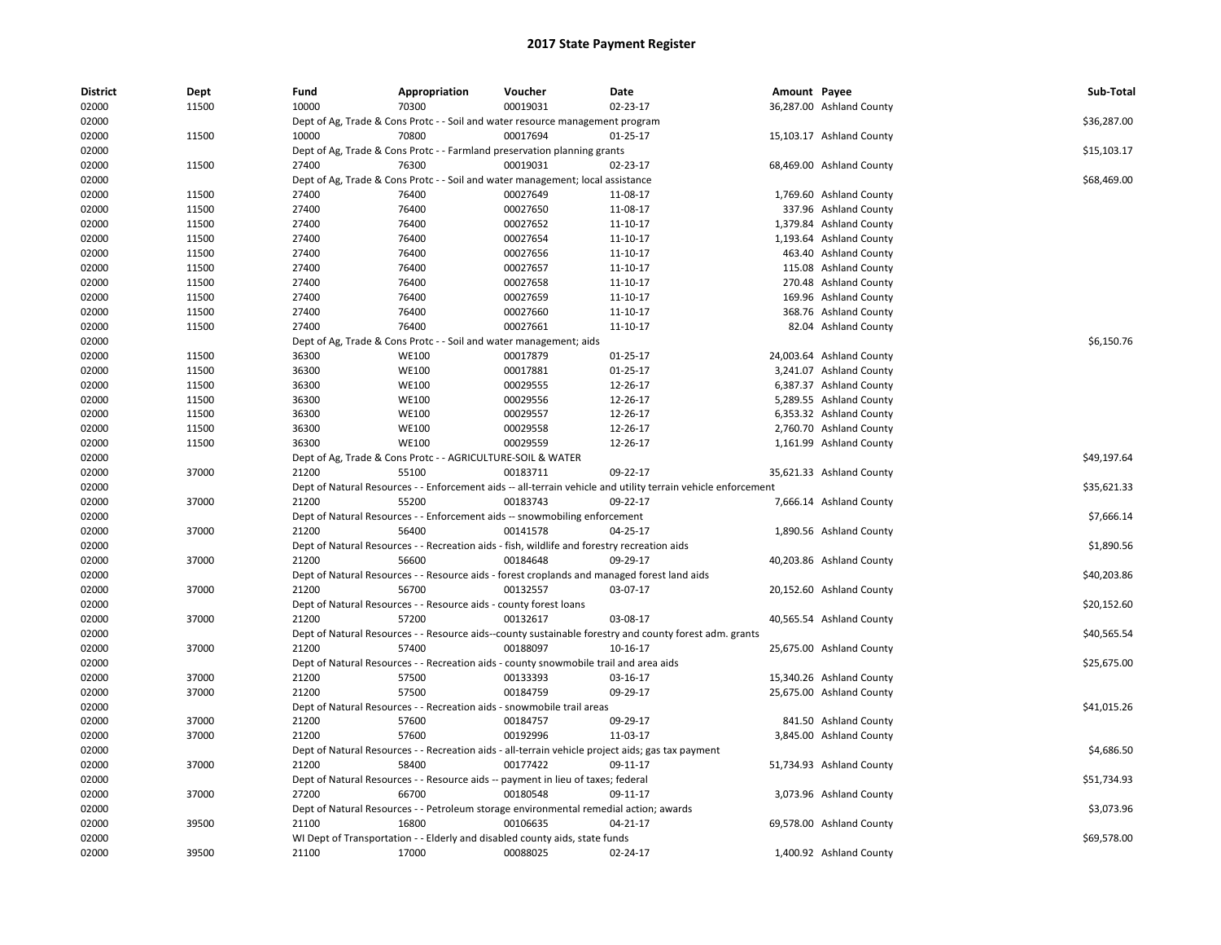| <b>District</b> | Dept  | Fund  | Appropriation                                                                         | Voucher  | Date                                                                                                          | Amount Payee |                          | Sub-Total   |
|-----------------|-------|-------|---------------------------------------------------------------------------------------|----------|---------------------------------------------------------------------------------------------------------------|--------------|--------------------------|-------------|
| 02000           | 11500 | 10000 | 70300                                                                                 | 00019031 | 02-23-17                                                                                                      |              | 36,287.00 Ashland County |             |
| 02000           |       |       | Dept of Ag, Trade & Cons Protc - - Soil and water resource management program         |          |                                                                                                               |              |                          | \$36,287.00 |
| 02000           | 11500 | 10000 | 70800                                                                                 | 00017694 | $01 - 25 - 17$                                                                                                |              | 15,103.17 Ashland County |             |
| 02000           |       |       | Dept of Ag, Trade & Cons Protc - - Farmland preservation planning grants              |          |                                                                                                               |              |                          | \$15,103.17 |
| 02000           | 11500 | 27400 | 76300                                                                                 | 00019031 | 02-23-17                                                                                                      |              | 68,469.00 Ashland County |             |
| 02000           |       |       | Dept of Ag. Trade & Cons Protc - - Soil and water management; local assistance        |          |                                                                                                               |              |                          | \$68,469.00 |
| 02000           | 11500 | 27400 | 76400                                                                                 | 00027649 | 11-08-17                                                                                                      |              | 1,769.60 Ashland County  |             |
| 02000           | 11500 | 27400 | 76400                                                                                 | 00027650 | 11-08-17                                                                                                      |              | 337.96 Ashland County    |             |
| 02000           | 11500 | 27400 | 76400                                                                                 | 00027652 | 11-10-17                                                                                                      |              | 1,379.84 Ashland County  |             |
| 02000           | 11500 | 27400 | 76400                                                                                 | 00027654 | 11-10-17                                                                                                      |              | 1,193.64 Ashland County  |             |
| 02000           | 11500 | 27400 | 76400                                                                                 | 00027656 | 11-10-17                                                                                                      |              | 463.40 Ashland County    |             |
| 02000           | 11500 | 27400 | 76400                                                                                 | 00027657 | 11-10-17                                                                                                      |              | 115.08 Ashland County    |             |
| 02000           | 11500 | 27400 | 76400                                                                                 | 00027658 | 11-10-17                                                                                                      |              | 270.48 Ashland County    |             |
| 02000           | 11500 | 27400 | 76400                                                                                 | 00027659 | 11-10-17                                                                                                      |              | 169.96 Ashland County    |             |
| 02000           | 11500 | 27400 | 76400                                                                                 | 00027660 | 11-10-17                                                                                                      |              | 368.76 Ashland County    |             |
| 02000           | 11500 | 27400 | 76400                                                                                 | 00027661 | 11-10-17                                                                                                      |              | 82.04 Ashland County     |             |
| 02000           |       |       | Dept of Ag, Trade & Cons Protc - - Soil and water management; aids                    |          |                                                                                                               |              |                          | \$6,150.76  |
| 02000           | 11500 | 36300 | <b>WE100</b>                                                                          | 00017879 | 01-25-17                                                                                                      |              | 24,003.64 Ashland County |             |
| 02000           | 11500 | 36300 | <b>WE100</b>                                                                          | 00017881 | 01-25-17                                                                                                      |              | 3,241.07 Ashland County  |             |
| 02000           | 11500 | 36300 | <b>WE100</b>                                                                          | 00029555 | 12-26-17                                                                                                      |              | 6,387.37 Ashland County  |             |
| 02000           | 11500 | 36300 | <b>WE100</b>                                                                          | 00029556 | 12-26-17                                                                                                      |              | 5,289.55 Ashland County  |             |
| 02000           | 11500 | 36300 | <b>WE100</b>                                                                          | 00029557 | 12-26-17                                                                                                      |              | 6,353.32 Ashland County  |             |
| 02000           | 11500 | 36300 | <b>WE100</b>                                                                          | 00029558 | 12-26-17                                                                                                      |              | 2,760.70 Ashland County  |             |
| 02000           | 11500 | 36300 | <b>WE100</b>                                                                          | 00029559 | 12-26-17                                                                                                      |              | 1,161.99 Ashland County  |             |
| 02000           |       |       | Dept of Ag, Trade & Cons Protc - - AGRICULTURE-SOIL & WATER                           |          |                                                                                                               |              |                          | \$49,197.64 |
| 02000           | 37000 | 21200 | 55100                                                                                 | 00183711 | 09-22-17                                                                                                      |              | 35,621.33 Ashland County |             |
| 02000           |       |       |                                                                                       |          | Dept of Natural Resources - - Enforcement aids -- all-terrain vehicle and utility terrain vehicle enforcement |              |                          | \$35,621.33 |
| 02000           | 37000 | 21200 | 55200                                                                                 | 00183743 | 09-22-17                                                                                                      |              | 7,666.14 Ashland County  |             |
| 02000           |       |       | Dept of Natural Resources - - Enforcement aids -- snowmobiling enforcement            |          |                                                                                                               |              |                          | \$7,666.14  |
| 02000           | 37000 | 21200 | 56400                                                                                 | 00141578 | 04-25-17                                                                                                      |              | 1,890.56 Ashland County  |             |
| 02000           |       |       |                                                                                       |          | Dept of Natural Resources - - Recreation aids - fish, wildlife and forestry recreation aids                   |              |                          | \$1,890.56  |
| 02000           | 37000 | 21200 | 56600                                                                                 | 00184648 | 09-29-17                                                                                                      |              | 40,203.86 Ashland County |             |
| 02000           |       |       |                                                                                       |          | Dept of Natural Resources - - Resource aids - forest croplands and managed forest land aids                   |              |                          | \$40,203.86 |
| 02000           | 37000 | 21200 | 56700                                                                                 | 00132557 | 03-07-17                                                                                                      |              | 20,152.60 Ashland County |             |
| 02000           |       |       | Dept of Natural Resources - - Resource aids - county forest loans                     |          |                                                                                                               |              |                          | \$20,152.60 |
| 02000           | 37000 | 21200 | 57200                                                                                 | 00132617 | 03-08-17                                                                                                      |              | 40,565.54 Ashland County |             |
| 02000           |       |       |                                                                                       |          | Dept of Natural Resources - - Resource aids--county sustainable forestry and county forest adm. grants        |              |                          | \$40,565.54 |
|                 | 37000 | 21200 | 57400                                                                                 | 00188097 | 10-16-17                                                                                                      |              |                          |             |
| 02000           |       |       |                                                                                       |          |                                                                                                               |              | 25,675.00 Ashland County |             |
| 02000           |       |       | Dept of Natural Resources - - Recreation aids - county snowmobile trail and area aids |          |                                                                                                               |              |                          | \$25,675.00 |
| 02000           | 37000 | 21200 | 57500                                                                                 | 00133393 | 03-16-17                                                                                                      |              | 15,340.26 Ashland County |             |
| 02000           | 37000 | 21200 | 57500                                                                                 | 00184759 | 09-29-17                                                                                                      |              | 25,675.00 Ashland County |             |
| 02000           |       |       | Dept of Natural Resources - - Recreation aids - snowmobile trail areas                |          |                                                                                                               |              |                          | \$41,015.26 |
| 02000           | 37000 | 21200 | 57600                                                                                 | 00184757 | 09-29-17                                                                                                      |              | 841.50 Ashland County    |             |
| 02000           | 37000 | 21200 | 57600                                                                                 | 00192996 | 11-03-17                                                                                                      |              | 3,845.00 Ashland County  |             |
| 02000           |       |       |                                                                                       |          | Dept of Natural Resources - - Recreation aids - all-terrain vehicle project aids; gas tax payment             |              |                          | \$4,686.50  |
| 02000           | 37000 | 21200 | 58400                                                                                 | 00177422 | 09-11-17                                                                                                      |              | 51,734.93 Ashland County |             |
| 02000           |       |       | Dept of Natural Resources - - Resource aids -- payment in lieu of taxes; federal      |          |                                                                                                               |              |                          | \$51,734.93 |
| 02000           | 37000 | 27200 | 66700                                                                                 | 00180548 | 09-11-17                                                                                                      |              | 3,073.96 Ashland County  |             |
| 02000           |       |       |                                                                                       |          | Dept of Natural Resources - - Petroleum storage environmental remedial action; awards                         |              |                          | \$3,073.96  |
| 02000           | 39500 | 21100 | 16800                                                                                 | 00106635 | 04-21-17                                                                                                      |              | 69,578.00 Ashland County |             |
| 02000           |       |       | WI Dept of Transportation - - Elderly and disabled county aids, state funds           |          |                                                                                                               |              |                          | \$69,578.00 |
| 02000           | 39500 | 21100 | 17000                                                                                 | 00088025 | 02-24-17                                                                                                      |              | 1,400.92 Ashland County  |             |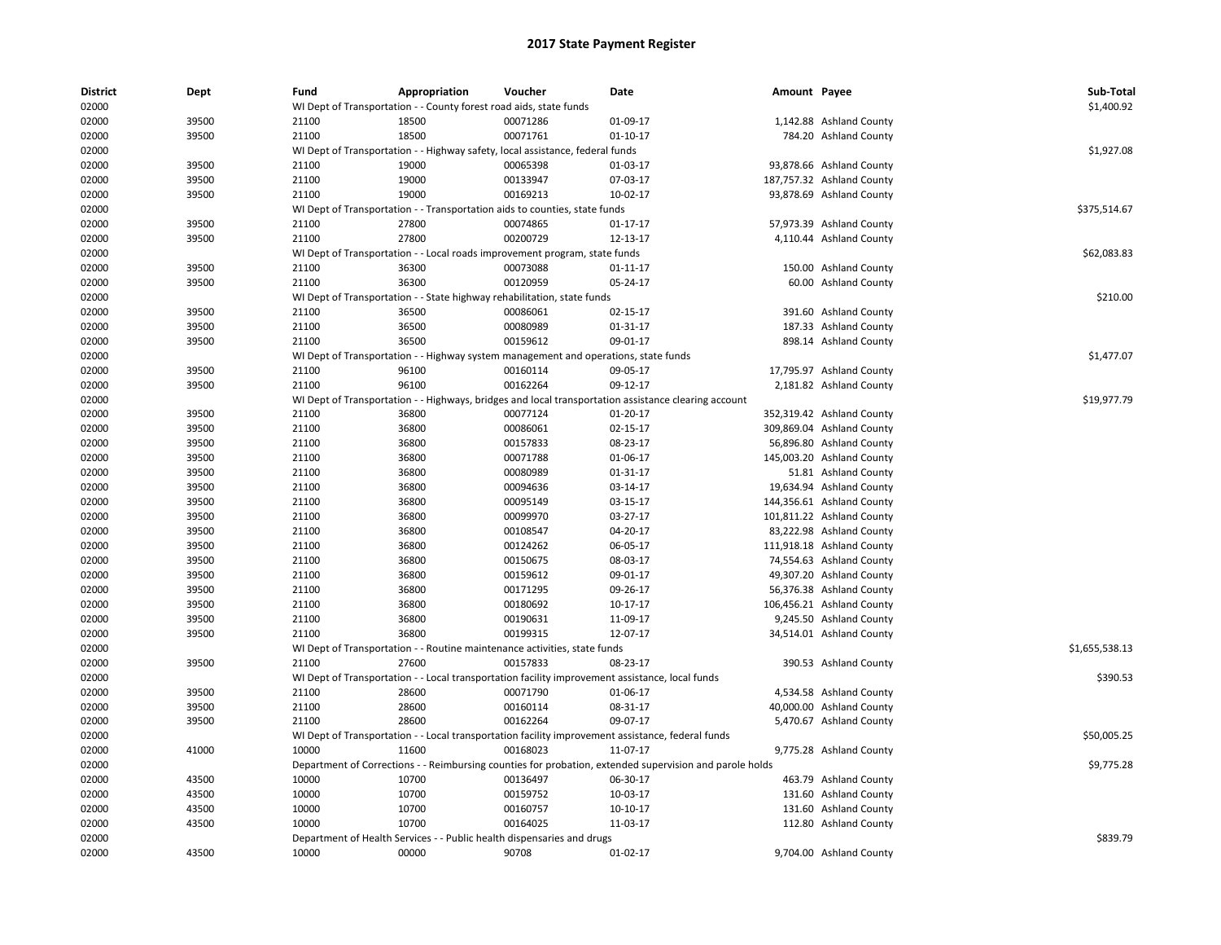| <b>District</b><br>02000 | Dept  | Fund           | Appropriation<br>WI Dept of Transportation - - County forest road aids, state funds                     | Voucher              | Date                 | Amount Payee |                           | Sub-Total<br>\$1,400.92 |
|--------------------------|-------|----------------|---------------------------------------------------------------------------------------------------------|----------------------|----------------------|--------------|---------------------------|-------------------------|
| 02000                    | 39500 | 21100          | 18500                                                                                                   | 00071286             | 01-09-17             |              | 1,142.88 Ashland County   |                         |
| 02000                    | 39500 | 21100          | 18500                                                                                                   | 00071761             | $01-10-17$           |              | 784.20 Ashland County     |                         |
| 02000                    |       |                | WI Dept of Transportation - - Highway safety, local assistance, federal funds                           |                      |                      |              |                           | \$1,927.08              |
|                          | 39500 | 21100          | 19000                                                                                                   | 00065398             | 01-03-17             |              |                           |                         |
| 02000                    |       |                |                                                                                                         |                      |                      |              | 93,878.66 Ashland County  |                         |
| 02000                    | 39500 | 21100          | 19000                                                                                                   | 00133947             | 07-03-17             |              | 187,757.32 Ashland County |                         |
| 02000                    | 39500 | 21100          | 19000                                                                                                   | 00169213             | 10-02-17             |              | 93,878.69 Ashland County  |                         |
| 02000                    |       |                | WI Dept of Transportation - - Transportation aids to counties, state funds                              |                      |                      |              |                           | \$375,514.67            |
| 02000                    | 39500 | 21100          | 27800                                                                                                   | 00074865             | $01 - 17 - 17$       |              | 57,973.39 Ashland County  |                         |
| 02000                    | 39500 | 21100          | 27800                                                                                                   | 00200729             | 12-13-17             |              | 4,110.44 Ashland County   |                         |
| 02000                    |       |                | WI Dept of Transportation - - Local roads improvement program, state funds                              |                      |                      |              |                           | \$62,083.83             |
| 02000                    | 39500 | 21100          | 36300                                                                                                   | 00073088             | 01-11-17             |              | 150.00 Ashland County     |                         |
| 02000                    | 39500 | 21100          | 36300                                                                                                   | 00120959             | 05-24-17             |              | 60.00 Ashland County      |                         |
| 02000                    |       |                | WI Dept of Transportation - - State highway rehabilitation, state funds                                 |                      |                      |              |                           | \$210.00                |
| 02000                    | 39500 | 21100          | 36500                                                                                                   | 00086061             | 02-15-17             |              | 391.60 Ashland County     |                         |
| 02000                    | 39500 | 21100          | 36500                                                                                                   | 00080989             | 01-31-17             |              | 187.33 Ashland County     |                         |
| 02000                    | 39500 | 21100          | 36500                                                                                                   | 00159612             | 09-01-17             |              | 898.14 Ashland County     |                         |
| 02000                    |       |                | WI Dept of Transportation - - Highway system management and operations, state funds                     |                      |                      |              |                           | \$1,477.07              |
| 02000                    | 39500 | 21100          | 96100                                                                                                   | 00160114             | 09-05-17             |              | 17,795.97 Ashland County  |                         |
| 02000                    | 39500 | 21100          | 96100                                                                                                   | 00162264             | 09-12-17             |              | 2,181.82 Ashland County   |                         |
| 02000                    |       |                | WI Dept of Transportation - - Highways, bridges and local transportation assistance clearing account    |                      |                      |              |                           | \$19,977.79             |
| 02000                    | 39500 | 21100          | 36800                                                                                                   | 00077124             | 01-20-17             |              | 352,319.42 Ashland County |                         |
| 02000                    | 39500 | 21100          | 36800                                                                                                   | 00086061             | 02-15-17             |              | 309,869.04 Ashland County |                         |
| 02000                    | 39500 | 21100          | 36800                                                                                                   | 00157833             | 08-23-17             |              | 56,896.80 Ashland County  |                         |
| 02000                    | 39500 | 21100          | 36800                                                                                                   | 00071788             | 01-06-17             |              | 145,003.20 Ashland County |                         |
| 02000                    | 39500 | 21100          | 36800                                                                                                   | 00080989             | 01-31-17             |              | 51.81 Ashland County      |                         |
| 02000                    | 39500 | 21100          | 36800                                                                                                   | 00094636             | 03-14-17             |              | 19,634.94 Ashland County  |                         |
| 02000                    | 39500 | 21100          | 36800                                                                                                   | 00095149             | 03-15-17             |              | 144,356.61 Ashland County |                         |
| 02000                    | 39500 | 21100          | 36800                                                                                                   | 00099970             | 03-27-17             |              | 101,811.22 Ashland County |                         |
| 02000                    | 39500 | 21100          | 36800                                                                                                   | 00108547             | 04-20-17             |              | 83,222.98 Ashland County  |                         |
| 02000                    | 39500 | 21100          | 36800                                                                                                   | 00124262             | 06-05-17             |              | 111,918.18 Ashland County |                         |
| 02000                    | 39500 | 21100          | 36800                                                                                                   | 00150675             | 08-03-17             |              | 74,554.63 Ashland County  |                         |
| 02000                    | 39500 | 21100          | 36800                                                                                                   | 00159612             | 09-01-17             |              | 49,307.20 Ashland County  |                         |
| 02000                    | 39500 | 21100          | 36800                                                                                                   | 00171295             | 09-26-17             |              | 56,376.38 Ashland County  |                         |
|                          |       |                | 36800                                                                                                   | 00180692             |                      |              |                           |                         |
| 02000                    | 39500 | 21100          |                                                                                                         |                      | 10-17-17             |              | 106,456.21 Ashland County |                         |
| 02000                    | 39500 | 21100<br>21100 | 36800<br>36800                                                                                          | 00190631<br>00199315 | 11-09-17<br>12-07-17 |              | 9,245.50 Ashland County   |                         |
| 02000                    | 39500 |                |                                                                                                         |                      |                      |              | 34,514.01 Ashland County  |                         |
| 02000                    |       |                | WI Dept of Transportation - - Routine maintenance activities, state funds                               |                      |                      |              |                           | \$1,655,538.13          |
| 02000                    | 39500 | 21100          | 27600                                                                                                   | 00157833             | 08-23-17             |              | 390.53 Ashland County     |                         |
| 02000                    |       |                | WI Dept of Transportation - - Local transportation facility improvement assistance, local funds         |                      |                      |              |                           | \$390.53                |
| 02000                    | 39500 | 21100          | 28600                                                                                                   | 00071790             | 01-06-17             |              | 4,534.58 Ashland County   |                         |
| 02000                    | 39500 | 21100          | 28600                                                                                                   | 00160114             | 08-31-17             |              | 40,000.00 Ashland County  |                         |
| 02000                    | 39500 | 21100          | 28600                                                                                                   | 00162264             | 09-07-17             |              | 5,470.67 Ashland County   |                         |
| 02000                    |       |                | WI Dept of Transportation - - Local transportation facility improvement assistance, federal funds       |                      |                      |              |                           | \$50,005.25             |
| 02000                    | 41000 | 10000          | 11600                                                                                                   | 00168023             | 11-07-17             |              | 9,775.28 Ashland County   |                         |
| 02000                    |       |                | Department of Corrections - - Reimbursing counties for probation, extended supervision and parole holds |                      |                      |              |                           | \$9,775.28              |
| 02000                    | 43500 | 10000          | 10700                                                                                                   | 00136497             | 06-30-17             |              | 463.79 Ashland County     |                         |
| 02000                    | 43500 | 10000          | 10700                                                                                                   | 00159752             | 10-03-17             |              | 131.60 Ashland County     |                         |
| 02000                    | 43500 | 10000          | 10700                                                                                                   | 00160757             | $10-10-17$           |              | 131.60 Ashland County     |                         |
| 02000                    | 43500 | 10000          | 10700                                                                                                   | 00164025             | 11-03-17             |              | 112.80 Ashland County     |                         |
| 02000                    |       |                | Department of Health Services - - Public health dispensaries and drugs                                  |                      |                      |              |                           | \$839.79                |
| 02000                    | 43500 | 10000          | 00000                                                                                                   | 90708                | 01-02-17             |              | 9,704.00 Ashland County   |                         |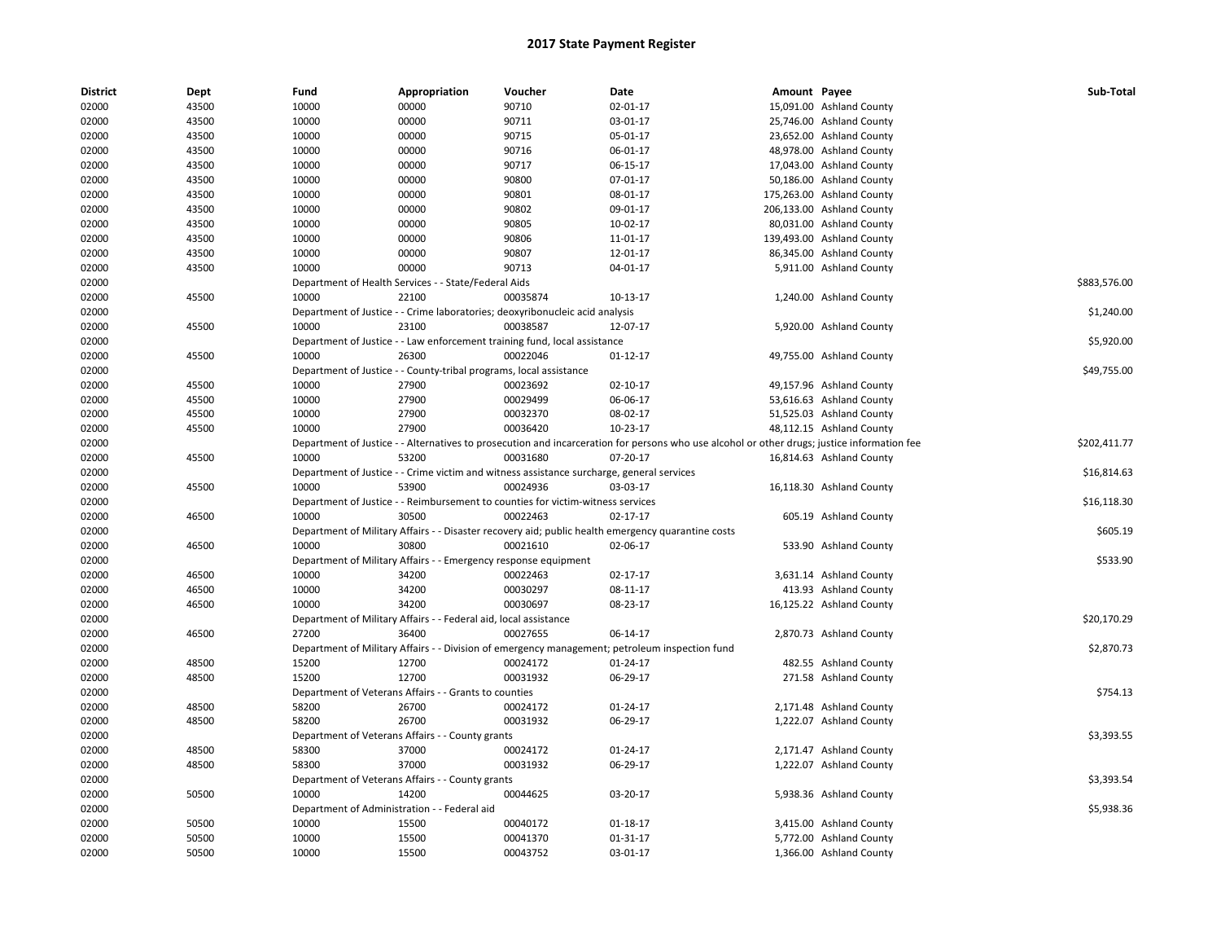| <b>District</b> | Dept  | Fund                                         | Appropriation                                                      | Voucher                                                                                   | Date                                                                                                                                        | Amount Payee |                                                    | Sub-Total    |
|-----------------|-------|----------------------------------------------|--------------------------------------------------------------------|-------------------------------------------------------------------------------------------|---------------------------------------------------------------------------------------------------------------------------------------------|--------------|----------------------------------------------------|--------------|
| 02000           | 43500 | 10000                                        | 00000                                                              | 90710                                                                                     | 02-01-17                                                                                                                                    |              | 15,091.00 Ashland County                           |              |
| 02000           | 43500 | 10000                                        | 00000                                                              | 90711                                                                                     | 03-01-17                                                                                                                                    |              | 25,746.00 Ashland County                           |              |
| 02000           | 43500 | 10000                                        | 00000                                                              | 90715                                                                                     | 05-01-17                                                                                                                                    |              | 23,652.00 Ashland County                           |              |
| 02000           | 43500 | 10000                                        | 00000                                                              | 90716                                                                                     | 06-01-17                                                                                                                                    |              | 48,978.00 Ashland County                           |              |
| 02000           | 43500 | 10000                                        | 00000                                                              | 90717                                                                                     | 06-15-17                                                                                                                                    |              | 17,043.00 Ashland County                           |              |
| 02000           | 43500 | 10000                                        | 00000                                                              | 90800                                                                                     | 07-01-17                                                                                                                                    |              | 50,186.00 Ashland County                           |              |
| 02000           | 43500 | 10000                                        | 00000                                                              | 90801                                                                                     | 08-01-17                                                                                                                                    |              | 175,263.00 Ashland County                          |              |
| 02000           | 43500 | 10000                                        | 00000                                                              | 90802                                                                                     | 09-01-17                                                                                                                                    |              | 206,133.00 Ashland County                          |              |
| 02000           | 43500 | 10000                                        | 00000                                                              | 90805                                                                                     | 10-02-17                                                                                                                                    |              | 80,031.00 Ashland County                           |              |
| 02000           | 43500 | 10000                                        | 00000                                                              | 90806                                                                                     | 11-01-17                                                                                                                                    |              | 139,493.00 Ashland County                          |              |
| 02000           | 43500 | 10000                                        | 00000                                                              | 90807                                                                                     | 12-01-17                                                                                                                                    |              | 86,345.00 Ashland County                           |              |
| 02000           | 43500 | 10000                                        | 00000                                                              | 90713                                                                                     | 04-01-17                                                                                                                                    |              | 5,911.00 Ashland County                            |              |
| 02000           |       |                                              | Department of Health Services - - State/Federal Aids               |                                                                                           |                                                                                                                                             |              |                                                    | \$883,576.00 |
| 02000           | 45500 | 10000                                        | 22100                                                              | 00035874                                                                                  | 10-13-17                                                                                                                                    |              | 1,240.00 Ashland County                            |              |
| 02000           |       |                                              |                                                                    | Department of Justice - - Crime laboratories; deoxyribonucleic acid analysis              |                                                                                                                                             |              |                                                    | \$1,240.00   |
| 02000           | 45500 | 10000                                        | 23100                                                              | 00038587                                                                                  | 12-07-17                                                                                                                                    |              | 5,920.00 Ashland County                            |              |
| 02000           |       |                                              |                                                                    | Department of Justice - - Law enforcement training fund, local assistance                 |                                                                                                                                             |              |                                                    | \$5,920.00   |
| 02000           | 45500 | 10000                                        | 26300                                                              | 00022046                                                                                  | $01-12-17$                                                                                                                                  |              | 49,755.00 Ashland County                           |              |
| 02000           |       |                                              | Department of Justice - - County-tribal programs, local assistance |                                                                                           |                                                                                                                                             |              |                                                    | \$49,755.00  |
| 02000           | 45500 | 10000                                        | 27900                                                              | 00023692                                                                                  | $02 - 10 - 17$                                                                                                                              |              | 49,157.96 Ashland County                           |              |
| 02000           | 45500 | 10000                                        | 27900                                                              | 00029499                                                                                  | 06-06-17                                                                                                                                    |              | 53,616.63 Ashland County                           |              |
| 02000           | 45500 | 10000                                        | 27900                                                              | 00032370                                                                                  | 08-02-17                                                                                                                                    |              | 51,525.03 Ashland County                           |              |
| 02000           | 45500 | 10000                                        | 27900                                                              | 00036420                                                                                  | 10-23-17                                                                                                                                    |              | 48,112.15 Ashland County                           |              |
| 02000           |       |                                              |                                                                    |                                                                                           | Department of Justice - - Alternatives to prosecution and incarceration for persons who use alcohol or other drugs; justice information fee |              |                                                    | \$202,411.77 |
| 02000           | 45500 | 10000                                        | 53200                                                              | 00031680                                                                                  | 07-20-17                                                                                                                                    |              | 16,814.63 Ashland County                           |              |
| 02000           |       |                                              |                                                                    | Department of Justice - - Crime victim and witness assistance surcharge, general services |                                                                                                                                             |              |                                                    | \$16,814.63  |
| 02000           | 45500 | 10000                                        | 53900                                                              | 00024936                                                                                  | 03-03-17                                                                                                                                    |              | 16,118.30 Ashland County                           |              |
| 02000           |       |                                              |                                                                    | Department of Justice - - Reimbursement to counties for victim-witness services           |                                                                                                                                             |              |                                                    | \$16,118.30  |
| 02000           | 46500 | 10000                                        | 30500                                                              | 00022463                                                                                  | $02 - 17 - 17$                                                                                                                              |              | 605.19 Ashland County                              |              |
| 02000           |       |                                              |                                                                    |                                                                                           | Department of Military Affairs - - Disaster recovery aid; public health emergency quarantine costs                                          |              |                                                    | \$605.19     |
| 02000           | 46500 | 10000                                        | 30800                                                              | 00021610                                                                                  | 02-06-17                                                                                                                                    |              | 533.90 Ashland County                              |              |
| 02000           |       |                                              | Department of Military Affairs - - Emergency response equipment    |                                                                                           |                                                                                                                                             |              |                                                    | \$533.90     |
| 02000           | 46500 | 10000                                        | 34200                                                              | 00022463                                                                                  | 02-17-17                                                                                                                                    |              | 3,631.14 Ashland County                            |              |
| 02000           | 46500 | 10000                                        | 34200                                                              | 00030297                                                                                  | 08-11-17                                                                                                                                    |              | 413.93 Ashland County                              |              |
| 02000           | 46500 | 10000                                        | 34200                                                              | 00030697                                                                                  | 08-23-17                                                                                                                                    |              | 16,125.22 Ashland County                           |              |
| 02000           |       |                                              | Department of Military Affairs - - Federal aid, local assistance   |                                                                                           |                                                                                                                                             |              |                                                    | \$20,170.29  |
| 02000           | 46500 | 27200                                        | 36400                                                              | 00027655                                                                                  | 06-14-17                                                                                                                                    |              | 2,870.73 Ashland County                            |              |
| 02000           |       |                                              |                                                                    |                                                                                           | Department of Military Affairs - - Division of emergency management; petroleum inspection fund                                              |              |                                                    | \$2,870.73   |
| 02000           | 48500 | 15200                                        | 12700                                                              | 00024172                                                                                  | 01-24-17                                                                                                                                    |              | 482.55 Ashland County                              |              |
| 02000           | 48500 | 15200                                        | 12700                                                              | 00031932                                                                                  | 06-29-17                                                                                                                                    |              | 271.58 Ashland County                              |              |
| 02000           |       |                                              | Department of Veterans Affairs - - Grants to counties              |                                                                                           |                                                                                                                                             |              |                                                    | \$754.13     |
| 02000           | 48500 | 58200                                        | 26700                                                              | 00024172                                                                                  | 01-24-17                                                                                                                                    |              |                                                    |              |
| 02000           | 48500 | 58200                                        | 26700                                                              | 00031932                                                                                  | 06-29-17                                                                                                                                    |              | 2,171.48 Ashland County<br>1,222.07 Ashland County |              |
| 02000           |       |                                              |                                                                    |                                                                                           |                                                                                                                                             |              |                                                    | \$3,393.55   |
|                 |       |                                              | Department of Veterans Affairs - - County grants                   |                                                                                           |                                                                                                                                             |              |                                                    |              |
| 02000           | 48500 | 58300                                        | 37000<br>37000                                                     | 00024172                                                                                  | $01 - 24 - 17$                                                                                                                              |              | 2,171.47 Ashland County                            |              |
| 02000           | 48500 | 58300                                        |                                                                    | 00031932                                                                                  | 06-29-17                                                                                                                                    |              | 1,222.07 Ashland County                            |              |
| 02000           |       |                                              | Department of Veterans Affairs - - County grants                   |                                                                                           |                                                                                                                                             |              |                                                    | \$3,393.54   |
| 02000           | 50500 | 10000                                        | 14200                                                              | 00044625                                                                                  | 03-20-17                                                                                                                                    |              | 5,938.36 Ashland County                            |              |
| 02000           |       | Department of Administration - - Federal aid |                                                                    |                                                                                           |                                                                                                                                             |              |                                                    | \$5,938.36   |
| 02000           | 50500 | 10000                                        | 15500                                                              | 00040172                                                                                  | 01-18-17                                                                                                                                    |              | 3,415.00 Ashland County                            |              |
| 02000           | 50500 | 10000                                        | 15500                                                              | 00041370                                                                                  | 01-31-17                                                                                                                                    |              | 5,772.00 Ashland County                            |              |
| 02000           | 50500 | 10000                                        | 15500                                                              | 00043752                                                                                  | 03-01-17                                                                                                                                    |              | 1,366.00 Ashland County                            |              |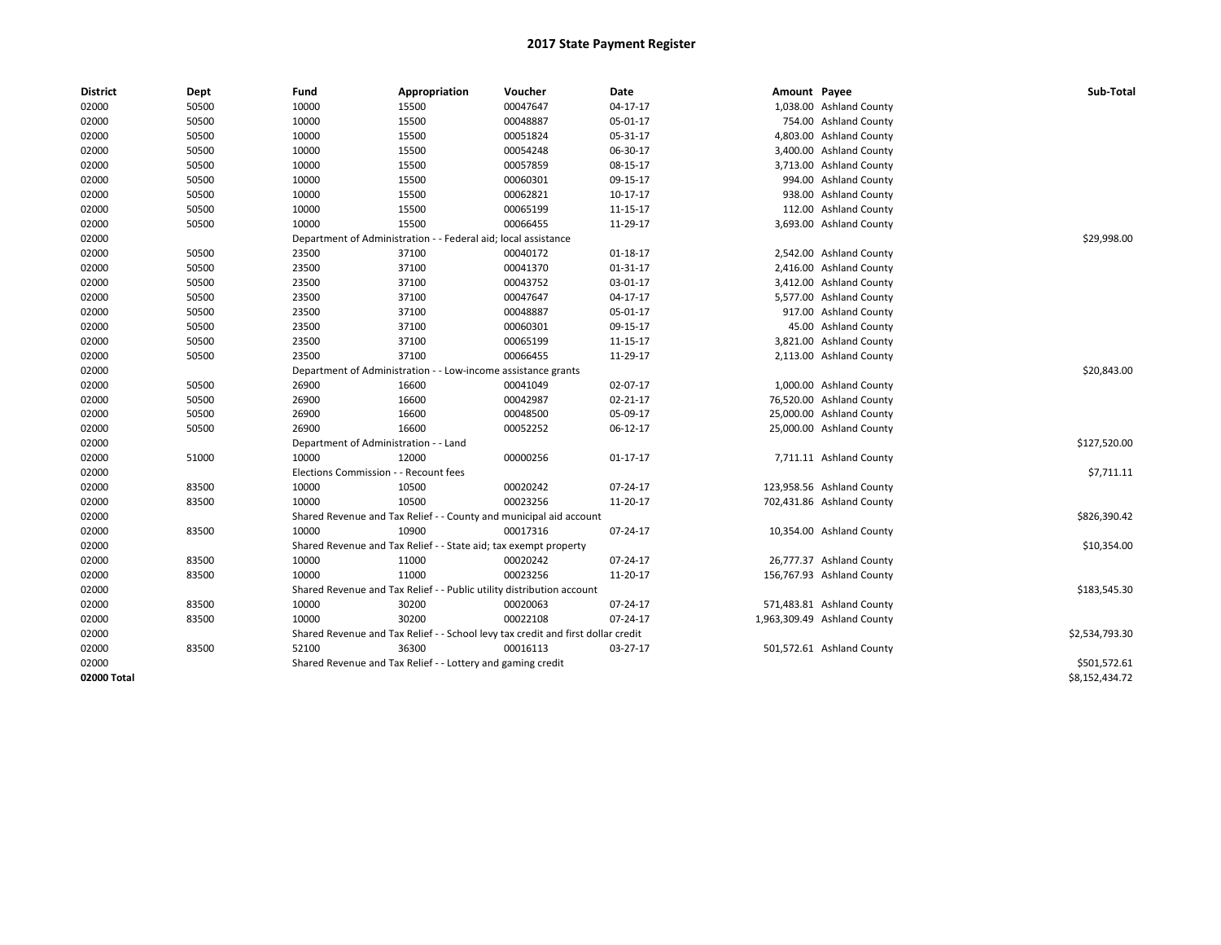| <b>District</b> | Dept  | Fund                                                          | Appropriation                                                                    | Voucher     | Date           | Amount Payee |                             | Sub-Total      |
|-----------------|-------|---------------------------------------------------------------|----------------------------------------------------------------------------------|-------------|----------------|--------------|-----------------------------|----------------|
| 02000           | 50500 | 10000                                                         | 15500                                                                            | 00047647    | $04-17-17$     |              | 1,038.00 Ashland County     |                |
| 02000           | 50500 | 10000                                                         | 15500                                                                            | 00048887    | 05-01-17       |              | 754.00 Ashland County       |                |
| 02000           | 50500 | 10000                                                         | 15500                                                                            | 00051824    | 05-31-17       |              | 4,803.00 Ashland County     |                |
| 02000           | 50500 | 10000                                                         | 15500                                                                            | 00054248    | 06-30-17       |              | 3,400.00 Ashland County     |                |
| 02000           | 50500 | 10000                                                         | 15500                                                                            | 00057859    | 08-15-17       |              | 3,713.00 Ashland County     |                |
| 02000           | 50500 | 10000                                                         | 15500                                                                            | 00060301    | 09-15-17       |              | 994.00 Ashland County       |                |
| 02000           | 50500 | 10000                                                         | 15500                                                                            | 00062821    | 10-17-17       |              | 938.00 Ashland County       |                |
| 02000           | 50500 | 10000                                                         | 15500                                                                            | 00065199    | 11-15-17       |              | 112.00 Ashland County       |                |
| 02000           | 50500 | 10000                                                         | 15500                                                                            | 00066455    | 11-29-17       |              | 3,693.00 Ashland County     |                |
| 02000           |       |                                                               | Department of Administration - - Federal aid; local assistance                   |             |                |              |                             | \$29,998.00    |
| 02000           | 50500 | 23500                                                         | 37100                                                                            | 00040172    | 01-18-17       |              | 2,542.00 Ashland County     |                |
| 02000           | 50500 | 23500                                                         | 37100                                                                            | 00041370    | 01-31-17       |              | 2,416.00 Ashland County     |                |
| 02000           | 50500 | 23500                                                         | 37100                                                                            | 00043752    | 03-01-17       |              | 3,412.00 Ashland County     |                |
| 02000           | 50500 | 23500                                                         | 37100                                                                            | 00047647    | 04-17-17       |              | 5,577.00 Ashland County     |                |
| 02000           | 50500 | 23500                                                         | 37100                                                                            | 00048887    | 05-01-17       |              | 917.00 Ashland County       |                |
| 02000           | 50500 | 23500                                                         | 37100                                                                            | 00060301    | 09-15-17       |              | 45.00 Ashland County        |                |
| 02000           | 50500 | 23500                                                         | 37100                                                                            | 00065199    | 11-15-17       |              | 3,821.00 Ashland County     |                |
| 02000           | 50500 | 23500                                                         | 37100                                                                            | 00066455    | 11-29-17       |              | 2,113.00 Ashland County     |                |
| 02000           |       | Department of Administration - - Low-income assistance grants |                                                                                  | \$20,843.00 |                |              |                             |                |
| 02000           | 50500 | 26900                                                         | 16600                                                                            | 00041049    | 02-07-17       |              | 1,000.00 Ashland County     |                |
| 02000           | 50500 | 26900                                                         | 16600                                                                            | 00042987    | 02-21-17       |              | 76,520.00 Ashland County    |                |
| 02000           | 50500 | 26900                                                         | 16600                                                                            | 00048500    | 05-09-17       |              | 25,000.00 Ashland County    |                |
| 02000           | 50500 | 26900                                                         | 16600                                                                            | 00052252    | 06-12-17       |              | 25,000.00 Ashland County    |                |
| 02000           |       | Department of Administration - - Land                         |                                                                                  |             |                |              |                             | \$127,520.00   |
| 02000           | 51000 | 10000                                                         | 12000                                                                            | 00000256    | $01 - 17 - 17$ |              | 7,711.11 Ashland County     |                |
| 02000           |       | Elections Commission - - Recount fees                         |                                                                                  |             |                |              |                             | \$7,711.11     |
| 02000           | 83500 | 10000                                                         | 10500                                                                            | 00020242    | 07-24-17       |              | 123,958.56 Ashland County   |                |
| 02000           | 83500 | 10000                                                         | 10500                                                                            | 00023256    | 11-20-17       |              | 702,431.86 Ashland County   |                |
| 02000           |       |                                                               | Shared Revenue and Tax Relief - - County and municipal aid account               |             |                |              |                             | \$826,390.42   |
| 02000           | 83500 | 10000                                                         | 10900                                                                            | 00017316    | 07-24-17       |              | 10,354.00 Ashland County    |                |
| 02000           |       |                                                               | Shared Revenue and Tax Relief - - State aid; tax exempt property                 |             |                |              |                             | \$10,354.00    |
| 02000           | 83500 | 10000                                                         | 11000                                                                            | 00020242    | 07-24-17       |              | 26,777.37 Ashland County    |                |
| 02000           | 83500 | 10000                                                         | 11000                                                                            | 00023256    | 11-20-17       |              | 156,767.93 Ashland County   |                |
| 02000           |       |                                                               | Shared Revenue and Tax Relief - - Public utility distribution account            |             |                |              |                             | \$183,545.30   |
| 02000           | 83500 | 10000                                                         | 30200                                                                            | 00020063    | 07-24-17       |              | 571,483.81 Ashland County   |                |
| 02000           | 83500 | 10000                                                         | 30200                                                                            | 00022108    | 07-24-17       |              | 1,963,309.49 Ashland County |                |
| 02000           |       |                                                               | Shared Revenue and Tax Relief - - School levy tax credit and first dollar credit |             |                |              |                             | \$2,534,793.30 |
| 02000           | 83500 | 52100                                                         | 36300                                                                            | 00016113    | $03-27-17$     |              | 501,572.61 Ashland County   |                |
| 02000           |       |                                                               | Shared Revenue and Tax Relief - - Lottery and gaming credit                      |             |                |              |                             | \$501,572.61   |
| 02000 Total     |       |                                                               |                                                                                  |             |                |              |                             | \$8,152,434.72 |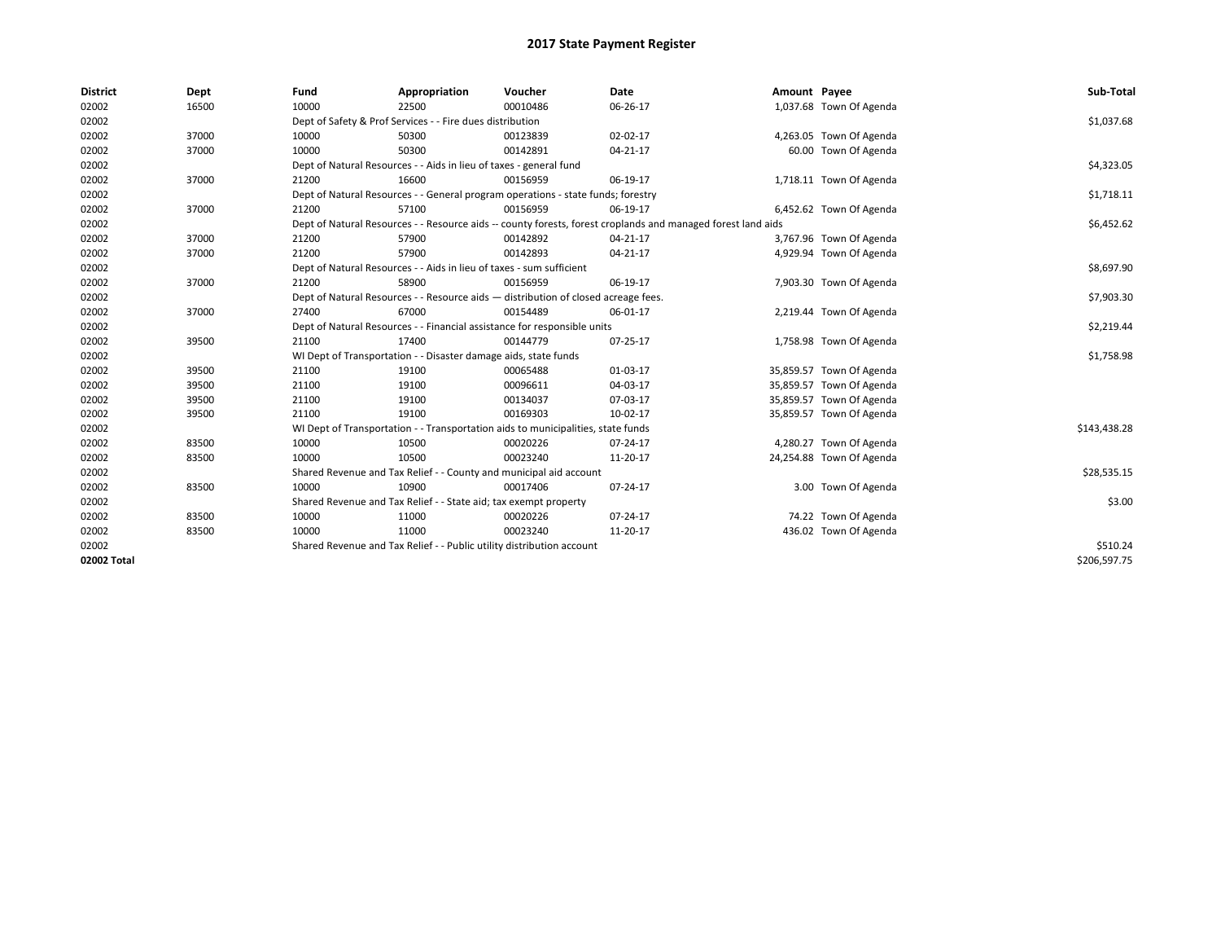| <b>District</b> | Dept  | Fund  | Appropriation                                                                                                | Voucher  | Date           | Amount Payee |                          | Sub-Total    |  |  |
|-----------------|-------|-------|--------------------------------------------------------------------------------------------------------------|----------|----------------|--------------|--------------------------|--------------|--|--|
| 02002           | 16500 | 10000 | 22500                                                                                                        | 00010486 | 06-26-17       |              | 1,037.68 Town Of Agenda  |              |  |  |
| 02002           |       |       | Dept of Safety & Prof Services - - Fire dues distribution                                                    |          |                |              |                          | \$1,037.68   |  |  |
| 02002           | 37000 | 10000 | 50300                                                                                                        | 00123839 | 02-02-17       |              | 4,263.05 Town Of Agenda  |              |  |  |
| 02002           | 37000 | 10000 | 50300                                                                                                        | 00142891 | 04-21-17       |              | 60.00 Town Of Agenda     |              |  |  |
| 02002           |       |       | Dept of Natural Resources - - Aids in lieu of taxes - general fund                                           |          |                |              |                          | \$4,323.05   |  |  |
| 02002           | 37000 | 21200 | 16600                                                                                                        | 00156959 | 06-19-17       |              | 1,718.11 Town Of Agenda  |              |  |  |
| 02002           |       |       | Dept of Natural Resources - - General program operations - state funds; forestry                             |          |                |              |                          | \$1,718.11   |  |  |
| 02002           | 37000 | 21200 | 57100                                                                                                        | 00156959 | 06-19-17       |              | 6,452.62 Town Of Agenda  |              |  |  |
| 02002           |       |       | Dept of Natural Resources - - Resource aids -- county forests, forest croplands and managed forest land aids |          |                |              |                          |              |  |  |
| 02002           | 37000 | 21200 | 57900                                                                                                        | 00142892 | 04-21-17       |              | 3,767.96 Town Of Agenda  |              |  |  |
| 02002           | 37000 | 21200 | 57900                                                                                                        | 00142893 | 04-21-17       |              | 4,929.94 Town Of Agenda  |              |  |  |
| 02002           |       |       | Dept of Natural Resources - - Aids in lieu of taxes - sum sufficient                                         |          |                |              |                          | \$8,697.90   |  |  |
| 02002           | 37000 | 21200 | 58900                                                                                                        | 00156959 | 06-19-17       |              | 7,903.30 Town Of Agenda  |              |  |  |
| 02002           |       |       | Dept of Natural Resources - - Resource aids - distribution of closed acreage fees.                           |          |                |              |                          | \$7,903.30   |  |  |
| 02002           | 37000 | 27400 | 67000                                                                                                        | 00154489 | 06-01-17       |              | 2,219.44 Town Of Agenda  |              |  |  |
| 02002           |       |       | Dept of Natural Resources - - Financial assistance for responsible units                                     |          |                |              |                          | \$2,219.44   |  |  |
| 02002           | 39500 | 21100 | 17400                                                                                                        | 00144779 | 07-25-17       |              | 1,758.98 Town Of Agenda  |              |  |  |
| 02002           |       |       | WI Dept of Transportation - - Disaster damage aids, state funds                                              |          |                |              |                          | \$1,758.98   |  |  |
| 02002           | 39500 | 21100 | 19100                                                                                                        | 00065488 | 01-03-17       |              | 35,859.57 Town Of Agenda |              |  |  |
| 02002           | 39500 | 21100 | 19100                                                                                                        | 00096611 | 04-03-17       |              | 35,859.57 Town Of Agenda |              |  |  |
| 02002           | 39500 | 21100 | 19100                                                                                                        | 00134037 | 07-03-17       |              | 35,859.57 Town Of Agenda |              |  |  |
| 02002           | 39500 | 21100 | 19100                                                                                                        | 00169303 | 10-02-17       |              | 35,859.57 Town Of Agenda |              |  |  |
| 02002           |       |       | WI Dept of Transportation - - Transportation aids to municipalities, state funds                             |          |                |              |                          | \$143,438.28 |  |  |
| 02002           | 83500 | 10000 | 10500                                                                                                        | 00020226 | 07-24-17       |              | 4,280.27 Town Of Agenda  |              |  |  |
| 02002           | 83500 | 10000 | 10500                                                                                                        | 00023240 | 11-20-17       |              | 24,254.88 Town Of Agenda |              |  |  |
| 02002           |       |       | Shared Revenue and Tax Relief - - County and municipal aid account                                           |          |                |              |                          | \$28,535.15  |  |  |
| 02002           | 83500 | 10000 | 10900                                                                                                        | 00017406 | 07-24-17       |              | 3.00 Town Of Agenda      |              |  |  |
| 02002           |       |       | Shared Revenue and Tax Relief - - State aid; tax exempt property                                             |          |                |              |                          | \$3.00       |  |  |
| 02002           | 83500 | 10000 | 11000                                                                                                        | 00020226 | $07 - 24 - 17$ |              | 74.22 Town Of Agenda     |              |  |  |
| 02002           | 83500 | 10000 | 11000                                                                                                        | 00023240 | 11-20-17       |              | 436.02 Town Of Agenda    |              |  |  |
| 02002           |       |       | Shared Revenue and Tax Relief - - Public utility distribution account                                        |          |                |              |                          | \$510.24     |  |  |
| 02002 Total     |       |       |                                                                                                              |          |                |              |                          | \$206,597.75 |  |  |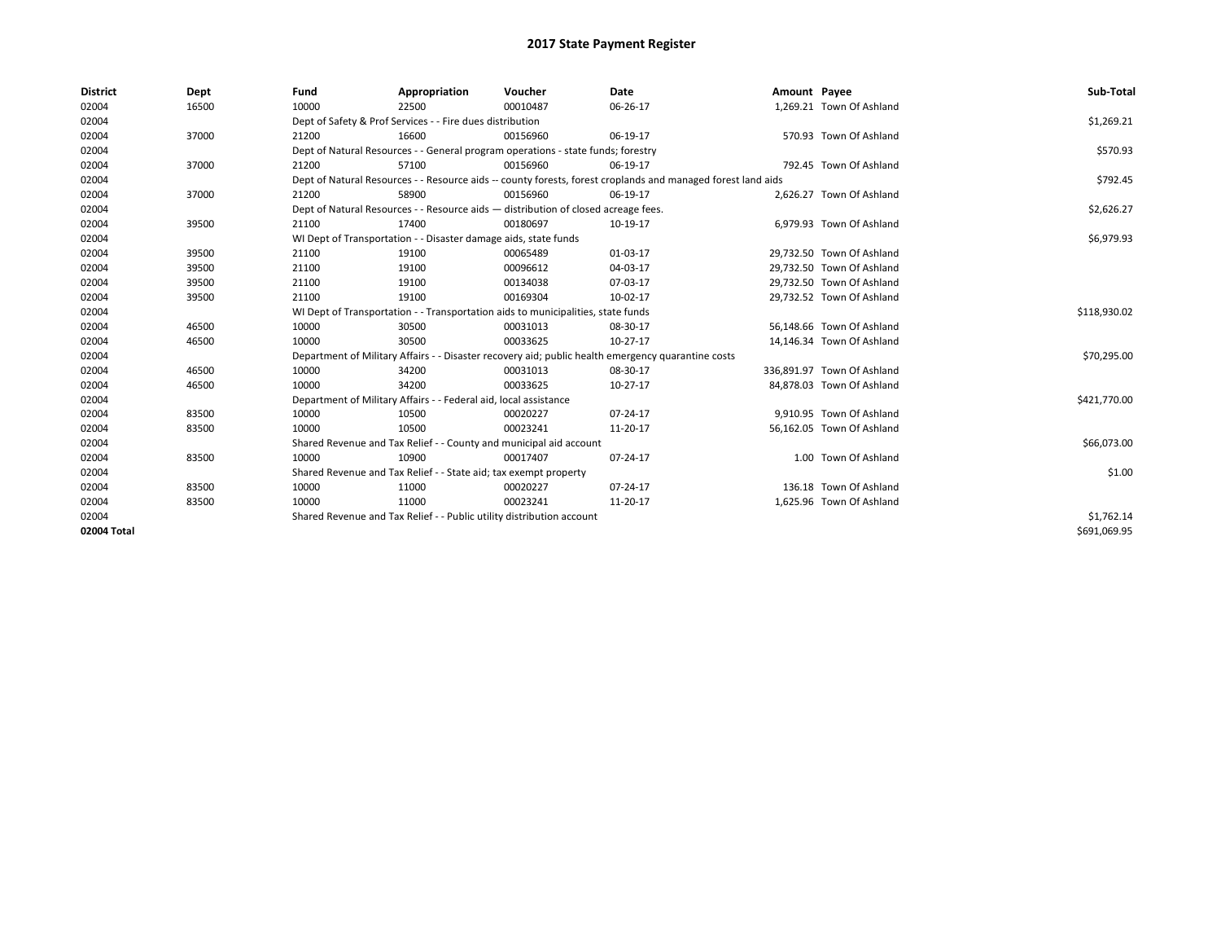| <b>District</b> | Dept  | Fund                                                                  | Appropriation                                                                                                | Voucher    | Date                                                                                               | Amount Payee |                            | Sub-Total    |  |
|-----------------|-------|-----------------------------------------------------------------------|--------------------------------------------------------------------------------------------------------------|------------|----------------------------------------------------------------------------------------------------|--------------|----------------------------|--------------|--|
| 02004           | 16500 | 10000                                                                 | 22500                                                                                                        | 00010487   | 06-26-17                                                                                           |              | 1,269.21 Town Of Ashland   |              |  |
| 02004           |       |                                                                       | Dept of Safety & Prof Services - - Fire dues distribution                                                    |            |                                                                                                    |              |                            | \$1,269.21   |  |
| 02004           | 37000 | 21200                                                                 | 16600                                                                                                        | 00156960   | 06-19-17                                                                                           |              | 570.93 Town Of Ashland     |              |  |
| 02004           |       |                                                                       | Dept of Natural Resources - - General program operations - state funds; forestry                             |            |                                                                                                    |              |                            | \$570.93     |  |
| 02004           | 37000 | 21200                                                                 | 57100                                                                                                        | 00156960   | 06-19-17                                                                                           |              | 792.45 Town Of Ashland     |              |  |
| 02004           |       |                                                                       | Dept of Natural Resources - - Resource aids -- county forests, forest croplands and managed forest land aids |            |                                                                                                    |              |                            |              |  |
| 02004           | 37000 | 21200                                                                 | 58900                                                                                                        | 00156960   | 06-19-17                                                                                           |              | 2,626.27 Town Of Ashland   |              |  |
| 02004           |       |                                                                       | Dept of Natural Resources - - Resource aids - distribution of closed acreage fees.                           |            |                                                                                                    |              |                            | \$2,626.27   |  |
| 02004           | 39500 | 21100                                                                 | 17400                                                                                                        | 00180697   | 10-19-17                                                                                           |              | 6,979.93 Town Of Ashland   |              |  |
| 02004           |       |                                                                       | WI Dept of Transportation - - Disaster damage aids, state funds                                              |            |                                                                                                    |              |                            | \$6,979.93   |  |
| 02004           | 39500 | 21100                                                                 | 19100                                                                                                        | 00065489   | 01-03-17                                                                                           |              | 29,732.50 Town Of Ashland  |              |  |
| 02004           | 39500 | 21100                                                                 | 19100                                                                                                        | 00096612   | 04-03-17                                                                                           |              | 29,732.50 Town Of Ashland  |              |  |
| 02004           | 39500 | 21100                                                                 | 19100                                                                                                        | 00134038   | 07-03-17                                                                                           |              | 29.732.50 Town Of Ashland  |              |  |
| 02004           | 39500 | 21100                                                                 | 19100                                                                                                        | 00169304   | 10-02-17                                                                                           |              | 29,732.52 Town Of Ashland  |              |  |
| 02004           |       |                                                                       | WI Dept of Transportation - - Transportation aids to municipalities, state funds                             |            |                                                                                                    |              |                            | \$118,930.02 |  |
| 02004           | 46500 | 10000                                                                 | 30500                                                                                                        | 00031013   | 08-30-17                                                                                           |              | 56,148.66 Town Of Ashland  |              |  |
| 02004           | 46500 | 10000                                                                 | 30500                                                                                                        | 00033625   | 10-27-17                                                                                           |              | 14,146.34 Town Of Ashland  |              |  |
| 02004           |       |                                                                       |                                                                                                              |            | Department of Military Affairs - - Disaster recovery aid; public health emergency quarantine costs |              |                            | \$70,295.00  |  |
| 02004           | 46500 | 10000                                                                 | 34200                                                                                                        | 00031013   | 08-30-17                                                                                           |              | 336,891.97 Town Of Ashland |              |  |
| 02004           | 46500 | 10000                                                                 | 34200                                                                                                        | 00033625   | 10-27-17                                                                                           |              | 84,878.03 Town Of Ashland  |              |  |
| 02004           |       |                                                                       | Department of Military Affairs - - Federal aid, local assistance                                             |            |                                                                                                    |              |                            | \$421,770.00 |  |
| 02004           | 83500 | 10000                                                                 | 10500                                                                                                        | 00020227   | 07-24-17                                                                                           |              | 9.910.95 Town Of Ashland   |              |  |
| 02004           | 83500 | 10000                                                                 | 10500                                                                                                        | 00023241   | 11-20-17                                                                                           |              | 56,162.05 Town Of Ashland  |              |  |
| 02004           |       |                                                                       | Shared Revenue and Tax Relief - - County and municipal aid account                                           |            |                                                                                                    |              |                            | \$66,073.00  |  |
| 02004           | 83500 | 10000                                                                 | 10900                                                                                                        | 00017407   | 07-24-17                                                                                           |              | 1.00 Town Of Ashland       |              |  |
| 02004           |       |                                                                       | Shared Revenue and Tax Relief - - State aid; tax exempt property                                             |            |                                                                                                    |              |                            | \$1.00       |  |
| 02004           | 83500 | 10000                                                                 | 11000                                                                                                        | 00020227   | 07-24-17                                                                                           |              | 136.18 Town Of Ashland     |              |  |
| 02004           | 83500 | 10000                                                                 | 11000                                                                                                        | 00023241   | 11-20-17                                                                                           |              | 1,625.96 Town Of Ashland   |              |  |
| 02004           |       | Shared Revenue and Tax Relief - - Public utility distribution account |                                                                                                              | \$1,762.14 |                                                                                                    |              |                            |              |  |
| 02004 Total     |       |                                                                       |                                                                                                              |            |                                                                                                    |              |                            | \$691,069.95 |  |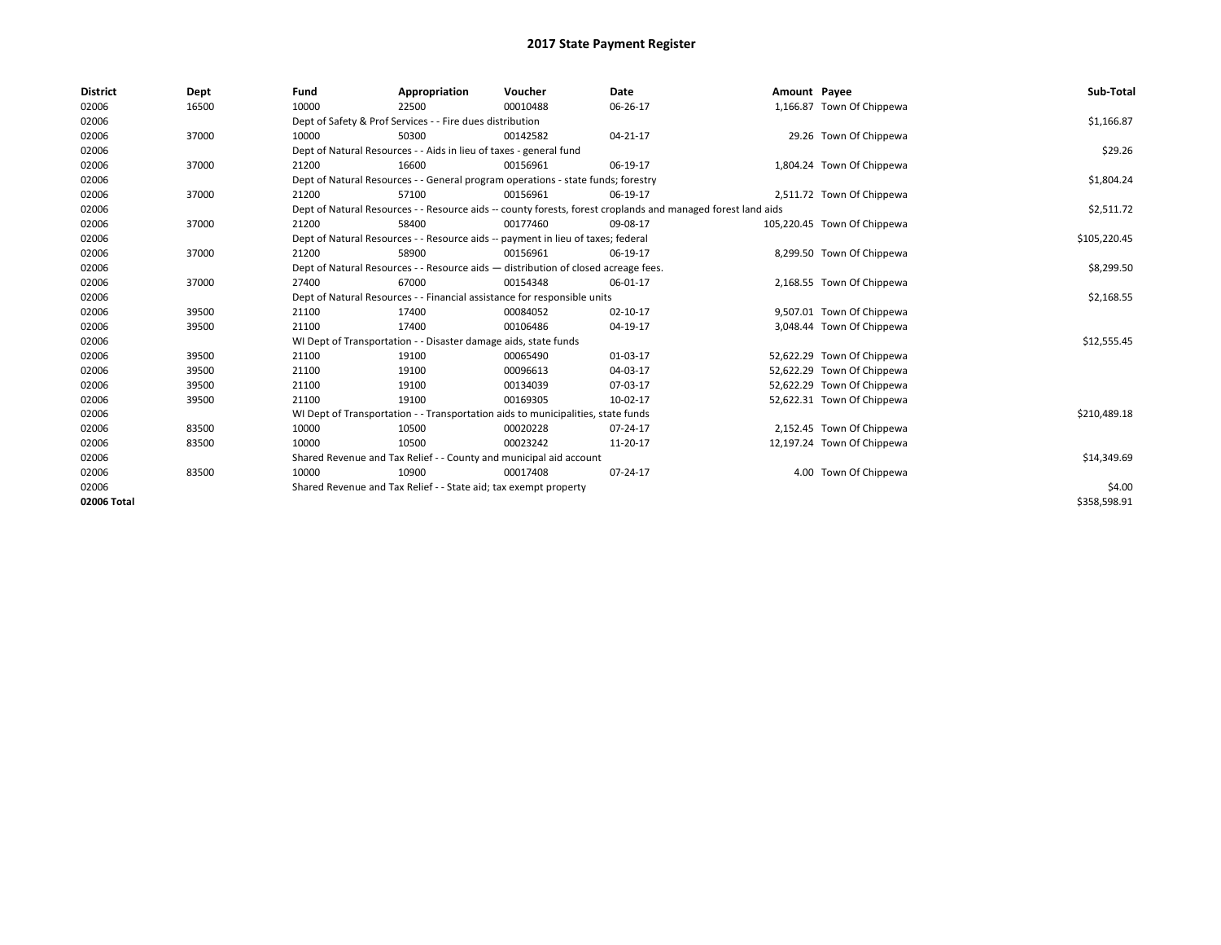| <b>District</b> | Dept  | Fund  | Appropriation                                                                                                | Voucher  | Date     | Amount Payee |                             | Sub-Total    |
|-----------------|-------|-------|--------------------------------------------------------------------------------------------------------------|----------|----------|--------------|-----------------------------|--------------|
| 02006           | 16500 | 10000 | 22500                                                                                                        | 00010488 | 06-26-17 |              | 1,166.87 Town Of Chippewa   |              |
| 02006           |       |       | Dept of Safety & Prof Services - - Fire dues distribution                                                    |          |          |              |                             | \$1,166.87   |
| 02006           | 37000 | 10000 | 50300                                                                                                        | 00142582 | 04-21-17 |              | 29.26 Town Of Chippewa      |              |
| 02006           |       |       | Dept of Natural Resources - - Aids in lieu of taxes - general fund                                           |          |          |              |                             | \$29.26      |
| 02006           | 37000 | 21200 | 16600                                                                                                        | 00156961 | 06-19-17 |              | 1,804.24 Town Of Chippewa   |              |
| 02006           |       |       | Dept of Natural Resources - - General program operations - state funds; forestry                             |          |          |              |                             | \$1,804.24   |
| 02006           | 37000 | 21200 | 57100                                                                                                        | 00156961 | 06-19-17 |              | 2,511.72 Town Of Chippewa   |              |
| 02006           |       |       | Dept of Natural Resources - - Resource aids -- county forests, forest croplands and managed forest land aids |          |          |              |                             | \$2,511.72   |
| 02006           | 37000 | 21200 | 58400                                                                                                        | 00177460 | 09-08-17 |              | 105,220.45 Town Of Chippewa |              |
| 02006           |       |       | Dept of Natural Resources - - Resource aids -- payment in lieu of taxes; federal                             |          |          |              |                             | \$105,220.45 |
| 02006           | 37000 | 21200 | 58900                                                                                                        | 00156961 | 06-19-17 |              | 8,299.50 Town Of Chippewa   |              |
| 02006           |       |       | Dept of Natural Resources - - Resource aids - distribution of closed acreage fees.                           |          |          |              |                             | \$8,299.50   |
| 02006           | 37000 | 27400 | 67000                                                                                                        | 00154348 | 06-01-17 |              | 2,168.55 Town Of Chippewa   |              |
| 02006           |       |       | Dept of Natural Resources - - Financial assistance for responsible units                                     |          |          |              |                             | \$2,168.55   |
| 02006           | 39500 | 21100 | 17400                                                                                                        | 00084052 | 02-10-17 |              | 9,507.01 Town Of Chippewa   |              |
| 02006           | 39500 | 21100 | 17400                                                                                                        | 00106486 | 04-19-17 |              | 3,048.44 Town Of Chippewa   |              |
| 02006           |       |       | WI Dept of Transportation - - Disaster damage aids, state funds                                              |          |          |              |                             | \$12,555.45  |
| 02006           | 39500 | 21100 | 19100                                                                                                        | 00065490 | 01-03-17 |              | 52,622.29 Town Of Chippewa  |              |
| 02006           | 39500 | 21100 | 19100                                                                                                        | 00096613 | 04-03-17 |              | 52,622.29 Town Of Chippewa  |              |
| 02006           | 39500 | 21100 | 19100                                                                                                        | 00134039 | 07-03-17 |              | 52,622.29 Town Of Chippewa  |              |
| 02006           | 39500 | 21100 | 19100                                                                                                        | 00169305 | 10-02-17 |              | 52,622.31 Town Of Chippewa  |              |
| 02006           |       |       | WI Dept of Transportation - - Transportation aids to municipalities, state funds                             |          |          |              |                             | \$210,489.18 |
| 02006           | 83500 | 10000 | 10500                                                                                                        | 00020228 | 07-24-17 |              | 2,152.45 Town Of Chippewa   |              |
| 02006           | 83500 | 10000 | 10500                                                                                                        | 00023242 | 11-20-17 |              | 12,197.24 Town Of Chippewa  |              |
| 02006           |       |       | Shared Revenue and Tax Relief - - County and municipal aid account                                           |          |          |              |                             | \$14,349.69  |
| 02006           | 83500 | 10000 | 10900                                                                                                        | 00017408 | 07-24-17 |              | 4.00 Town Of Chippewa       |              |
| 02006           |       |       | Shared Revenue and Tax Relief - - State aid; tax exempt property                                             |          |          |              |                             | \$4.00       |
| 02006 Total     |       |       |                                                                                                              |          |          |              |                             | \$358,598.91 |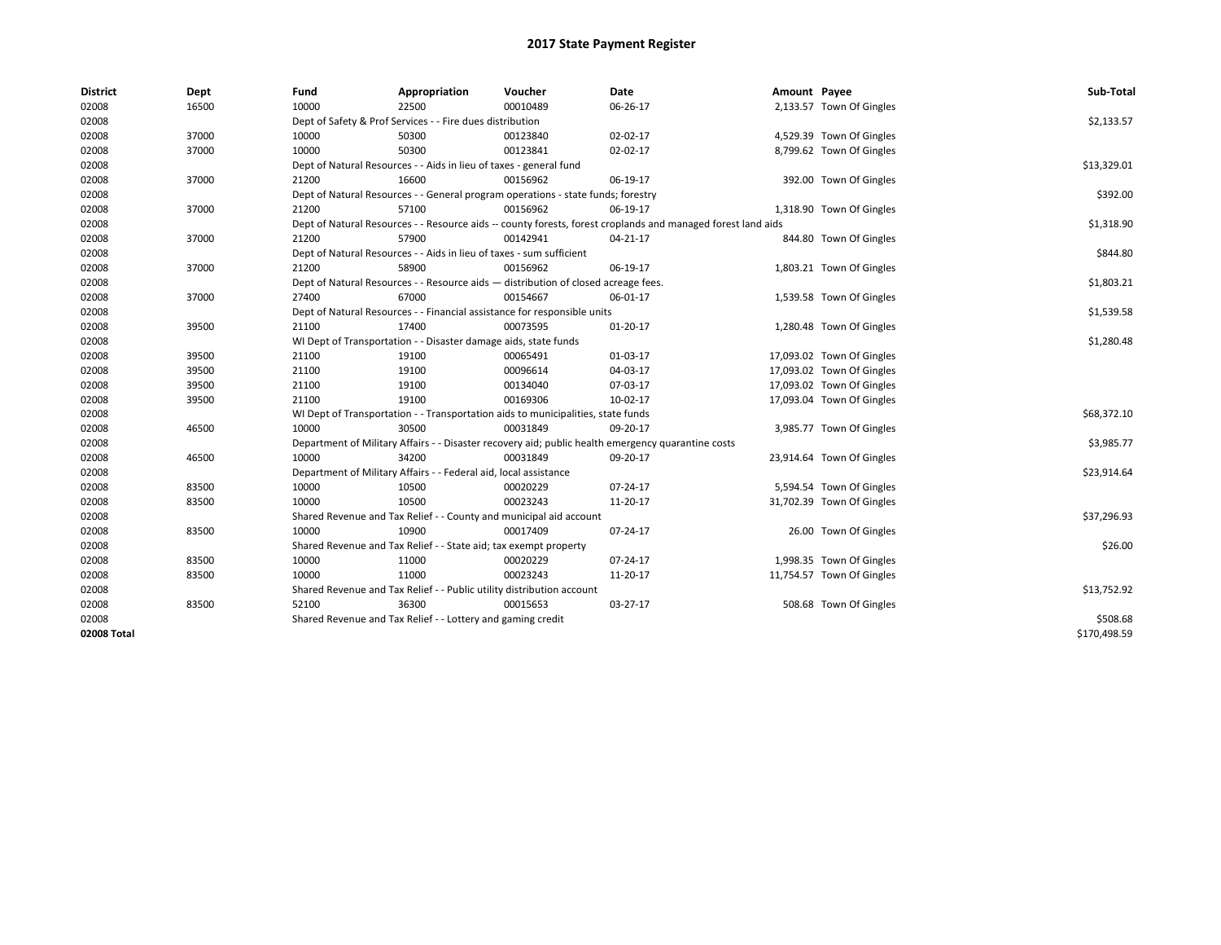| <b>District</b> | Dept  | Fund                                                            | Appropriation                                                                      | Voucher  | Date                                                                                                         | Amount Payee |                           | Sub-Total    |
|-----------------|-------|-----------------------------------------------------------------|------------------------------------------------------------------------------------|----------|--------------------------------------------------------------------------------------------------------------|--------------|---------------------------|--------------|
| 02008           | 16500 | 10000                                                           | 22500                                                                              | 00010489 | 06-26-17                                                                                                     |              | 2,133.57 Town Of Gingles  |              |
| 02008           |       |                                                                 | Dept of Safety & Prof Services - - Fire dues distribution                          |          |                                                                                                              |              |                           | \$2,133.57   |
| 02008           | 37000 | 10000                                                           | 50300                                                                              | 00123840 | 02-02-17                                                                                                     |              | 4,529.39 Town Of Gingles  |              |
| 02008           | 37000 | 10000                                                           | 50300                                                                              | 00123841 | 02-02-17                                                                                                     |              | 8,799.62 Town Of Gingles  |              |
| 02008           |       |                                                                 | Dept of Natural Resources - - Aids in lieu of taxes - general fund                 |          |                                                                                                              |              |                           | \$13,329.01  |
| 02008           | 37000 | 21200                                                           | 16600                                                                              | 00156962 | 06-19-17                                                                                                     |              | 392.00 Town Of Gingles    |              |
| 02008           |       |                                                                 | Dept of Natural Resources - - General program operations - state funds; forestry   |          |                                                                                                              |              |                           | \$392.00     |
| 02008           | 37000 | 21200                                                           | 57100                                                                              | 00156962 | 06-19-17                                                                                                     |              | 1,318.90 Town Of Gingles  |              |
| 02008           |       |                                                                 |                                                                                    |          | Dept of Natural Resources - - Resource aids -- county forests, forest croplands and managed forest land aids |              |                           | \$1,318.90   |
| 02008           | 37000 | 21200                                                           | 57900                                                                              | 00142941 | 04-21-17                                                                                                     |              | 844.80 Town Of Gingles    |              |
| 02008           |       |                                                                 | Dept of Natural Resources - - Aids in lieu of taxes - sum sufficient               |          |                                                                                                              |              |                           | \$844.80     |
| 02008           | 37000 | 21200                                                           | 58900                                                                              | 00156962 | 06-19-17                                                                                                     |              | 1,803.21 Town Of Gingles  |              |
| 02008           |       |                                                                 | Dept of Natural Resources - - Resource aids - distribution of closed acreage fees. |          |                                                                                                              |              |                           | \$1,803.21   |
| 02008           | 37000 | 27400                                                           | 67000                                                                              | 00154667 | 06-01-17                                                                                                     |              | 1,539.58 Town Of Gingles  |              |
| 02008           |       |                                                                 | Dept of Natural Resources - - Financial assistance for responsible units           |          |                                                                                                              |              |                           | \$1,539.58   |
| 02008           | 39500 | 21100                                                           | 17400                                                                              | 00073595 | $01 - 20 - 17$                                                                                               |              | 1,280.48 Town Of Gingles  |              |
| 02008           |       | WI Dept of Transportation - - Disaster damage aids, state funds | \$1,280.48                                                                         |          |                                                                                                              |              |                           |              |
| 02008           | 39500 | 21100                                                           | 19100                                                                              | 00065491 | 01-03-17                                                                                                     |              | 17,093.02 Town Of Gingles |              |
| 02008           | 39500 | 21100                                                           | 19100                                                                              | 00096614 | 04-03-17                                                                                                     |              | 17,093.02 Town Of Gingles |              |
| 02008           | 39500 | 21100                                                           | 19100                                                                              | 00134040 | 07-03-17                                                                                                     |              | 17,093.02 Town Of Gingles |              |
| 02008           | 39500 | 21100                                                           | 19100                                                                              | 00169306 | 10-02-17                                                                                                     |              | 17,093.04 Town Of Gingles |              |
| 02008           |       |                                                                 | WI Dept of Transportation - - Transportation aids to municipalities, state funds   |          |                                                                                                              |              |                           | \$68,372.10  |
| 02008           | 46500 | 10000                                                           | 30500                                                                              | 00031849 | 09-20-17                                                                                                     |              | 3,985.77 Town Of Gingles  |              |
| 02008           |       |                                                                 |                                                                                    |          | Department of Military Affairs - - Disaster recovery aid; public health emergency quarantine costs           |              |                           | \$3,985.77   |
| 02008           | 46500 | 10000                                                           | 34200                                                                              | 00031849 | 09-20-17                                                                                                     |              | 23,914.64 Town Of Gingles |              |
| 02008           |       |                                                                 | Department of Military Affairs - - Federal aid, local assistance                   |          |                                                                                                              |              |                           | \$23,914.64  |
| 02008           | 83500 | 10000                                                           | 10500                                                                              | 00020229 | 07-24-17                                                                                                     |              | 5,594.54 Town Of Gingles  |              |
| 02008           | 83500 | 10000                                                           | 10500                                                                              | 00023243 | 11-20-17                                                                                                     |              | 31,702.39 Town Of Gingles |              |
| 02008           |       |                                                                 | Shared Revenue and Tax Relief - - County and municipal aid account                 |          |                                                                                                              |              |                           | \$37,296.93  |
| 02008           | 83500 | 10000                                                           | 10900                                                                              | 00017409 | 07-24-17                                                                                                     |              | 26.00 Town Of Gingles     |              |
| 02008           |       |                                                                 | Shared Revenue and Tax Relief - - State aid; tax exempt property                   |          |                                                                                                              |              |                           | \$26.00      |
| 02008           | 83500 | 10000                                                           | 11000                                                                              | 00020229 | 07-24-17                                                                                                     |              | 1,998.35 Town Of Gingles  |              |
| 02008           | 83500 | 10000                                                           | 11000                                                                              | 00023243 | 11-20-17                                                                                                     |              | 11,754.57 Town Of Gingles |              |
| 02008           |       |                                                                 | Shared Revenue and Tax Relief - - Public utility distribution account              |          |                                                                                                              |              |                           | \$13,752.92  |
| 02008           | 83500 | 52100                                                           | 36300                                                                              | 00015653 | 03-27-17                                                                                                     |              | 508.68 Town Of Gingles    |              |
| 02008           |       |                                                                 | Shared Revenue and Tax Relief - - Lottery and gaming credit                        |          |                                                                                                              |              |                           | \$508.68     |
| 02008 Total     |       |                                                                 |                                                                                    |          |                                                                                                              |              |                           | \$170.498.59 |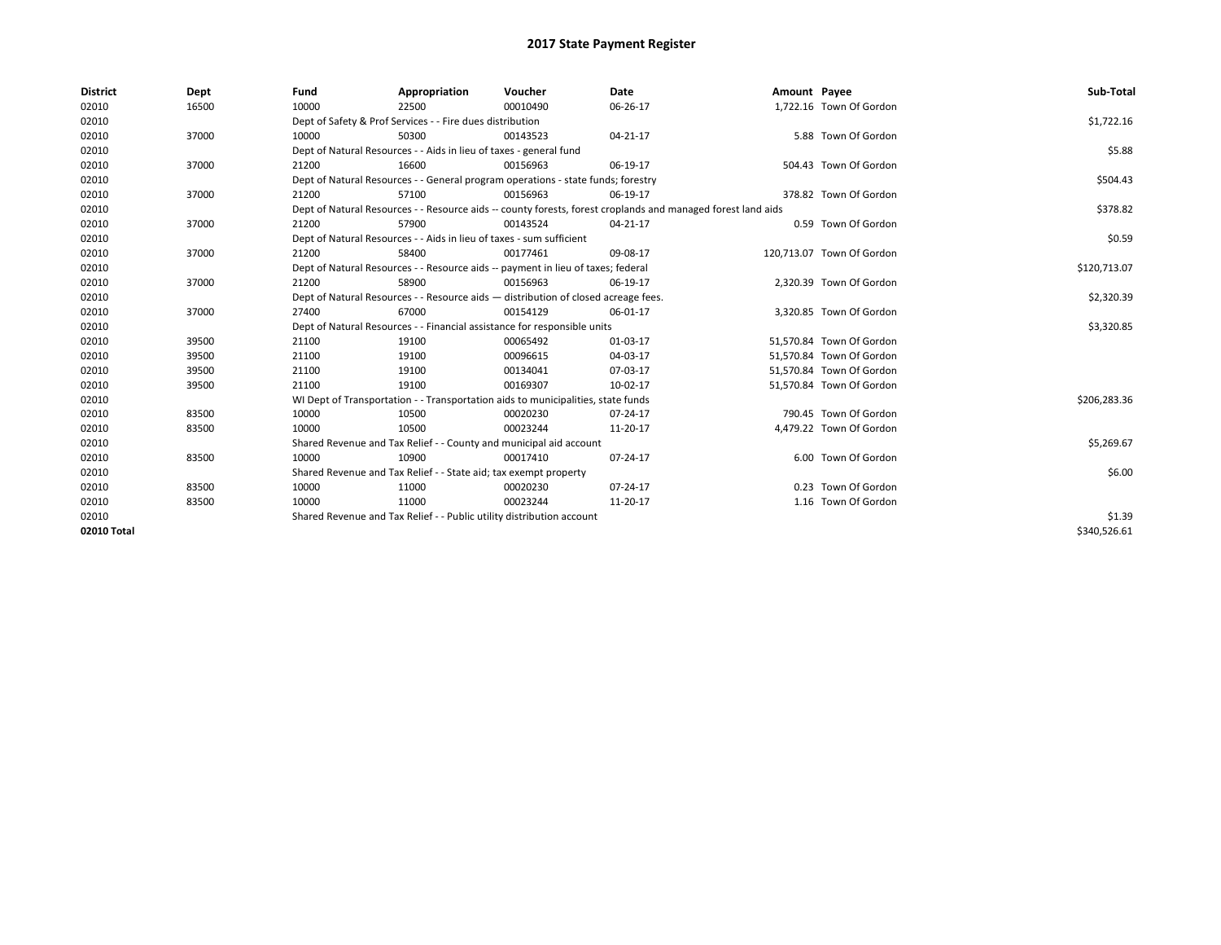| <b>District</b> | Dept  | Fund  | Appropriation                                                                                                | Voucher  | Date     | Amount Payee |                           | Sub-Total    |  |
|-----------------|-------|-------|--------------------------------------------------------------------------------------------------------------|----------|----------|--------------|---------------------------|--------------|--|
| 02010           | 16500 | 10000 | 22500                                                                                                        | 00010490 | 06-26-17 |              | 1,722.16 Town Of Gordon   |              |  |
| 02010           |       |       | Dept of Safety & Prof Services - - Fire dues distribution                                                    |          |          |              |                           | \$1,722.16   |  |
| 02010           | 37000 | 10000 | 50300                                                                                                        | 00143523 | 04-21-17 |              | 5.88 Town Of Gordon       |              |  |
| 02010           |       |       | Dept of Natural Resources - - Aids in lieu of taxes - general fund                                           |          |          |              |                           | \$5.88       |  |
| 02010           | 37000 | 21200 | 16600                                                                                                        | 00156963 | 06-19-17 |              | 504.43 Town Of Gordon     |              |  |
| 02010           |       |       | Dept of Natural Resources - - General program operations - state funds; forestry                             |          |          |              |                           |              |  |
| 02010           | 37000 | 21200 | 57100                                                                                                        | 00156963 | 06-19-17 |              | 378.82 Town Of Gordon     |              |  |
| 02010           |       |       | Dept of Natural Resources - - Resource aids -- county forests, forest croplands and managed forest land aids |          |          |              |                           | \$378.82     |  |
| 02010           | 37000 | 21200 | 57900                                                                                                        | 00143524 | 04-21-17 |              | 0.59 Town Of Gordon       |              |  |
| 02010           |       |       | Dept of Natural Resources - - Aids in lieu of taxes - sum sufficient                                         |          |          |              |                           | \$0.59       |  |
| 02010           | 37000 | 21200 | 58400                                                                                                        | 00177461 | 09-08-17 |              | 120.713.07 Town Of Gordon |              |  |
| 02010           |       |       | Dept of Natural Resources - - Resource aids -- payment in lieu of taxes; federal                             |          |          |              |                           | \$120,713.07 |  |
| 02010           | 37000 | 21200 | 58900                                                                                                        | 00156963 | 06-19-17 |              | 2,320.39 Town Of Gordon   |              |  |
| 02010           |       |       | Dept of Natural Resources - - Resource aids - distribution of closed acreage fees.                           |          |          |              |                           | \$2,320.39   |  |
| 02010           | 37000 | 27400 | 67000                                                                                                        | 00154129 | 06-01-17 |              | 3,320.85 Town Of Gordon   |              |  |
| 02010           |       |       | Dept of Natural Resources - - Financial assistance for responsible units                                     |          |          |              |                           | \$3,320.85   |  |
| 02010           | 39500 | 21100 | 19100                                                                                                        | 00065492 | 01-03-17 |              | 51,570.84 Town Of Gordon  |              |  |
| 02010           | 39500 | 21100 | 19100                                                                                                        | 00096615 | 04-03-17 |              | 51.570.84 Town Of Gordon  |              |  |
| 02010           | 39500 | 21100 | 19100                                                                                                        | 00134041 | 07-03-17 |              | 51,570.84 Town Of Gordon  |              |  |
| 02010           | 39500 | 21100 | 19100                                                                                                        | 00169307 | 10-02-17 |              | 51,570.84 Town Of Gordon  |              |  |
| 02010           |       |       | WI Dept of Transportation - - Transportation aids to municipalities, state funds                             |          |          |              |                           | \$206,283.36 |  |
| 02010           | 83500 | 10000 | 10500                                                                                                        | 00020230 | 07-24-17 |              | 790.45 Town Of Gordon     |              |  |
| 02010           | 83500 | 10000 | 10500                                                                                                        | 00023244 | 11-20-17 |              | 4,479.22 Town Of Gordon   |              |  |
| 02010           |       |       | Shared Revenue and Tax Relief - - County and municipal aid account                                           |          |          |              |                           | \$5,269.67   |  |
| 02010           | 83500 | 10000 | 10900                                                                                                        | 00017410 | 07-24-17 |              | 6.00 Town Of Gordon       |              |  |
| 02010           |       |       | Shared Revenue and Tax Relief - - State aid; tax exempt property                                             |          |          |              |                           | \$6.00       |  |
| 02010           | 83500 | 10000 | 11000                                                                                                        | 00020230 | 07-24-17 |              | 0.23 Town Of Gordon       |              |  |
| 02010           | 83500 | 10000 | 11000                                                                                                        | 00023244 | 11-20-17 |              | 1.16 Town Of Gordon       |              |  |
| 02010           |       |       | Shared Revenue and Tax Relief - - Public utility distribution account                                        |          |          |              |                           | \$1.39       |  |
| 02010 Total     |       |       |                                                                                                              |          |          |              |                           | \$340,526.61 |  |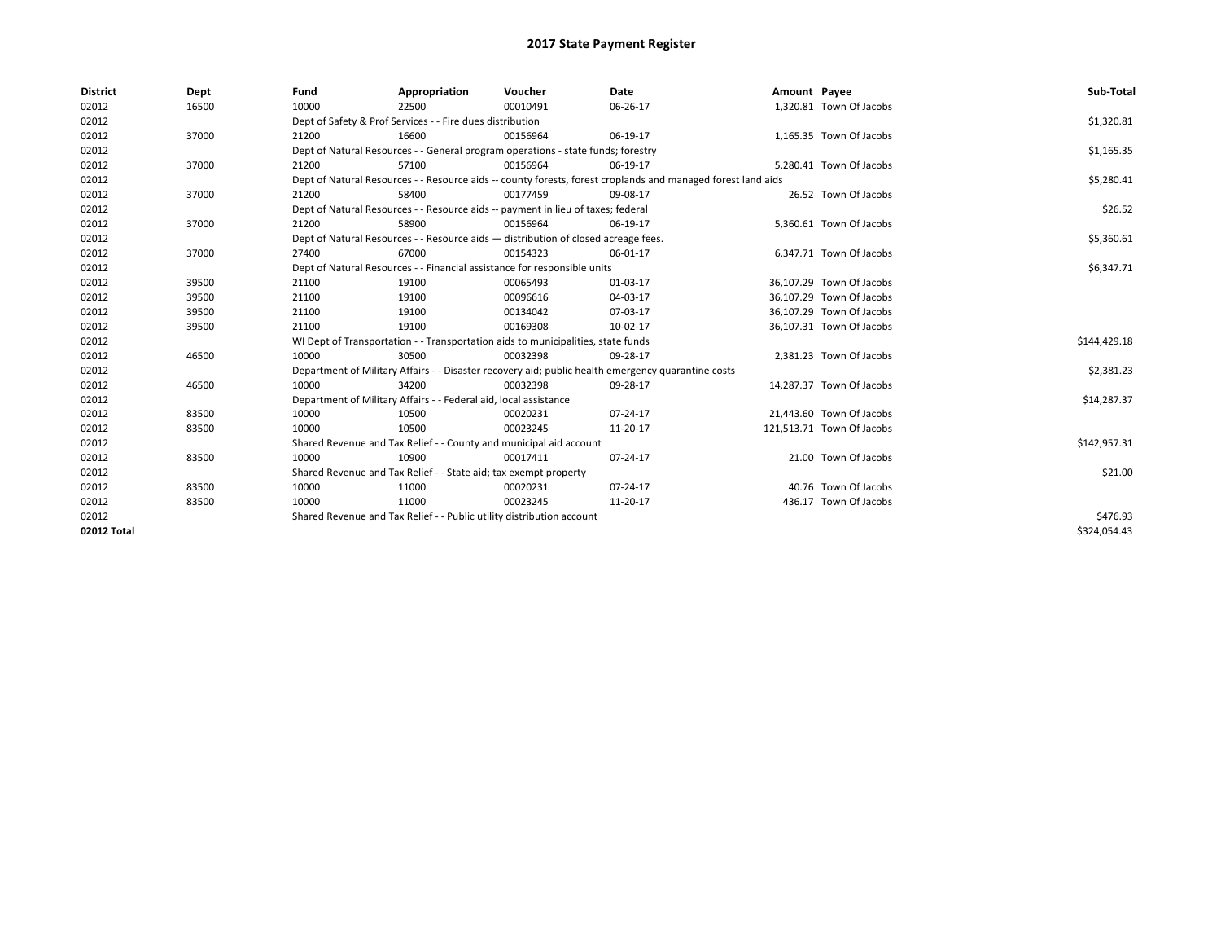| <b>District</b> | Dept  | Fund  | Appropriation                                                                                                | Voucher  | Date     | Amount Payee |                           | Sub-Total    |  |
|-----------------|-------|-------|--------------------------------------------------------------------------------------------------------------|----------|----------|--------------|---------------------------|--------------|--|
| 02012           | 16500 | 10000 | 22500                                                                                                        | 00010491 | 06-26-17 |              | 1,320.81 Town Of Jacobs   |              |  |
| 02012           |       |       | Dept of Safety & Prof Services - - Fire dues distribution                                                    |          |          |              |                           | \$1,320.81   |  |
| 02012           | 37000 | 21200 | 16600                                                                                                        | 00156964 | 06-19-17 |              | 1,165.35 Town Of Jacobs   |              |  |
| 02012           |       |       | Dept of Natural Resources - - General program operations - state funds; forestry                             |          |          |              |                           | \$1,165.35   |  |
| 02012           | 37000 | 21200 | 57100                                                                                                        | 00156964 | 06-19-17 |              | 5,280.41 Town Of Jacobs   |              |  |
| 02012           |       |       | Dept of Natural Resources - - Resource aids -- county forests, forest croplands and managed forest land aids |          |          |              |                           |              |  |
| 02012           | 37000 | 21200 | 58400                                                                                                        | 00177459 | 09-08-17 |              | 26.52 Town Of Jacobs      |              |  |
| 02012           |       |       | Dept of Natural Resources - - Resource aids -- payment in lieu of taxes; federal                             |          |          |              |                           | \$26.52      |  |
| 02012           | 37000 | 21200 | 58900                                                                                                        | 00156964 | 06-19-17 |              | 5,360.61 Town Of Jacobs   |              |  |
| 02012           |       |       | Dept of Natural Resources - - Resource aids - distribution of closed acreage fees.                           |          |          |              |                           | \$5,360.61   |  |
| 02012           | 37000 | 27400 | 67000                                                                                                        | 00154323 | 06-01-17 |              | 6.347.71 Town Of Jacobs   |              |  |
| 02012           |       |       | Dept of Natural Resources - - Financial assistance for responsible units                                     |          |          |              |                           | \$6,347.71   |  |
| 02012           | 39500 | 21100 | 19100                                                                                                        | 00065493 | 01-03-17 |              | 36,107.29 Town Of Jacobs  |              |  |
| 02012           | 39500 | 21100 | 19100                                                                                                        | 00096616 | 04-03-17 |              | 36,107.29 Town Of Jacobs  |              |  |
| 02012           | 39500 | 21100 | 19100                                                                                                        | 00134042 | 07-03-17 |              | 36,107.29 Town Of Jacobs  |              |  |
| 02012           | 39500 | 21100 | 19100                                                                                                        | 00169308 | 10-02-17 |              | 36,107.31 Town Of Jacobs  |              |  |
| 02012           |       |       | WI Dept of Transportation - - Transportation aids to municipalities, state funds                             |          |          |              |                           | \$144,429.18 |  |
| 02012           | 46500 | 10000 | 30500                                                                                                        | 00032398 | 09-28-17 |              | 2,381.23 Town Of Jacobs   |              |  |
| 02012           |       |       | Department of Military Affairs - - Disaster recovery aid; public health emergency quarantine costs           |          |          |              |                           | \$2,381.23   |  |
| 02012           | 46500 | 10000 | 34200                                                                                                        | 00032398 | 09-28-17 |              | 14.287.37 Town Of Jacobs  |              |  |
| 02012           |       |       | Department of Military Affairs - - Federal aid, local assistance                                             |          |          |              |                           | \$14,287.37  |  |
| 02012           | 83500 | 10000 | 10500                                                                                                        | 00020231 | 07-24-17 |              | 21,443.60 Town Of Jacobs  |              |  |
| 02012           | 83500 | 10000 | 10500                                                                                                        | 00023245 | 11-20-17 |              | 121,513.71 Town Of Jacobs |              |  |
| 02012           |       |       | Shared Revenue and Tax Relief - - County and municipal aid account                                           |          |          |              |                           | \$142,957.31 |  |
| 02012           | 83500 | 10000 | 10900                                                                                                        | 00017411 | 07-24-17 |              | 21.00 Town Of Jacobs      |              |  |
| 02012           |       |       | Shared Revenue and Tax Relief - - State aid; tax exempt property                                             |          |          |              |                           | \$21.00      |  |
| 02012           | 83500 | 10000 | 11000                                                                                                        | 00020231 | 07-24-17 |              | 40.76 Town Of Jacobs      |              |  |
| 02012           | 83500 | 10000 | 11000                                                                                                        | 00023245 | 11-20-17 |              | 436.17 Town Of Jacobs     |              |  |
| 02012           |       |       | Shared Revenue and Tax Relief - - Public utility distribution account                                        |          |          |              |                           |              |  |
| 02012 Total     |       |       |                                                                                                              |          |          |              |                           | \$324,054.43 |  |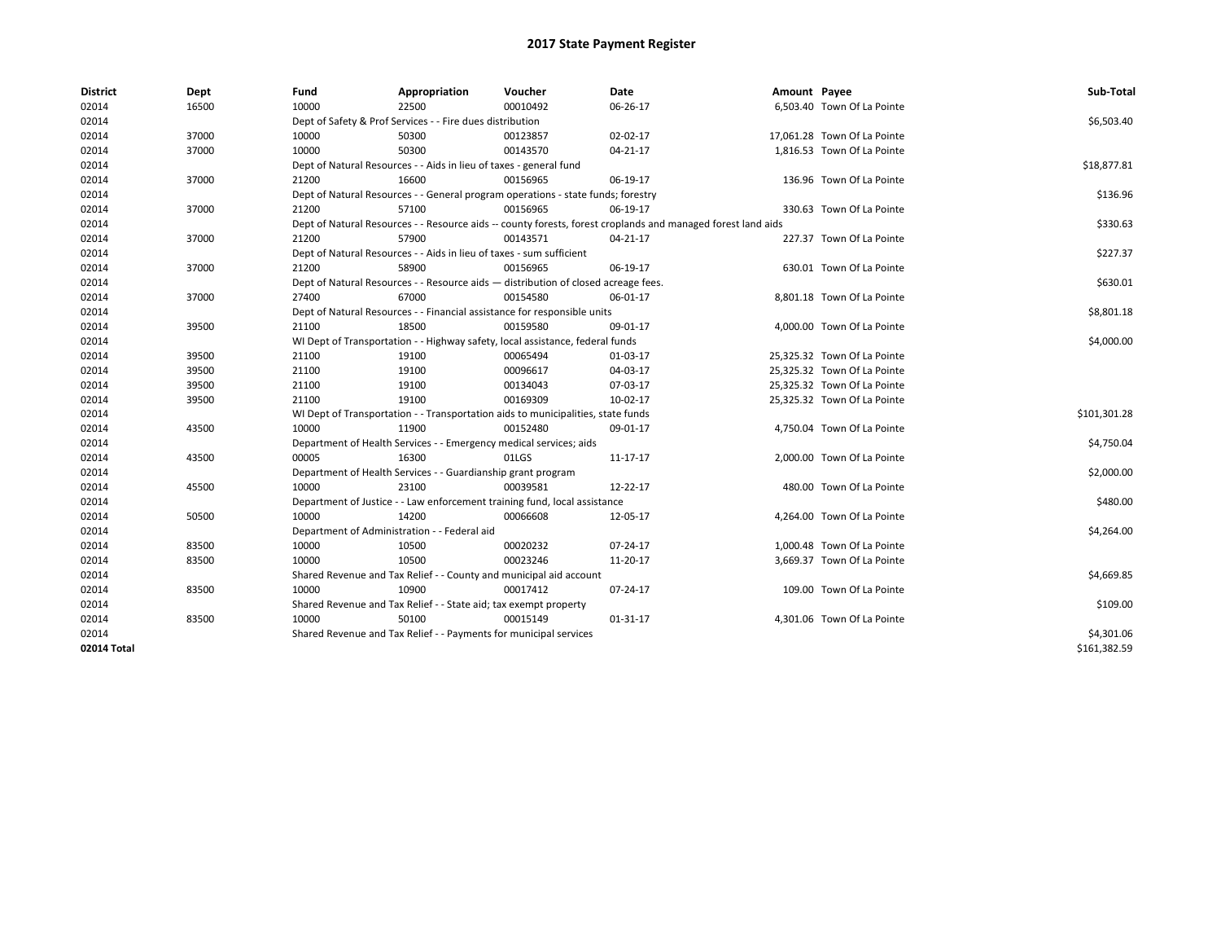| <b>District</b> | Dept  | Fund  | Appropriation                                                                      | Voucher  | Date                                                                                                         | Amount Payee |                             | Sub-Total    |
|-----------------|-------|-------|------------------------------------------------------------------------------------|----------|--------------------------------------------------------------------------------------------------------------|--------------|-----------------------------|--------------|
| 02014           | 16500 | 10000 | 22500                                                                              | 00010492 | 06-26-17                                                                                                     |              | 6,503.40 Town Of La Pointe  |              |
| 02014           |       |       | Dept of Safety & Prof Services - - Fire dues distribution                          |          |                                                                                                              |              |                             | \$6,503.40   |
| 02014           | 37000 | 10000 | 50300                                                                              | 00123857 | 02-02-17                                                                                                     |              | 17,061.28 Town Of La Pointe |              |
| 02014           | 37000 | 10000 | 50300                                                                              | 00143570 | 04-21-17                                                                                                     |              | 1,816.53 Town Of La Pointe  |              |
| 02014           |       |       | Dept of Natural Resources - - Aids in lieu of taxes - general fund                 |          |                                                                                                              |              |                             | \$18,877.81  |
| 02014           | 37000 | 21200 | 16600                                                                              | 00156965 | 06-19-17                                                                                                     |              | 136.96 Town Of La Pointe    |              |
| 02014           |       |       | Dept of Natural Resources - - General program operations - state funds; forestry   |          |                                                                                                              |              |                             | \$136.96     |
| 02014           | 37000 | 21200 | 57100                                                                              | 00156965 | 06-19-17                                                                                                     |              | 330.63 Town Of La Pointe    |              |
| 02014           |       |       |                                                                                    |          | Dept of Natural Resources - - Resource aids -- county forests, forest croplands and managed forest land aids |              |                             | \$330.63     |
| 02014           | 37000 | 21200 | 57900                                                                              | 00143571 | $04 - 21 - 17$                                                                                               |              | 227.37 Town Of La Pointe    |              |
| 02014           |       |       | Dept of Natural Resources - - Aids in lieu of taxes - sum sufficient               |          |                                                                                                              |              |                             | \$227.37     |
| 02014           | 37000 | 21200 | 58900                                                                              | 00156965 | 06-19-17                                                                                                     |              | 630.01 Town Of La Pointe    |              |
| 02014           |       |       | Dept of Natural Resources - - Resource aids - distribution of closed acreage fees. |          |                                                                                                              |              |                             | \$630.01     |
| 02014           | 37000 | 27400 | 67000                                                                              | 00154580 | 06-01-17                                                                                                     |              | 8,801.18 Town Of La Pointe  |              |
| 02014           |       |       | Dept of Natural Resources - - Financial assistance for responsible units           |          |                                                                                                              |              |                             | \$8,801.18   |
| 02014           | 39500 | 21100 | 18500                                                                              | 00159580 | 09-01-17                                                                                                     |              | 4,000.00 Town Of La Pointe  |              |
| 02014           |       |       | WI Dept of Transportation - - Highway safety, local assistance, federal funds      |          |                                                                                                              |              |                             | \$4,000.00   |
| 02014           | 39500 | 21100 | 19100                                                                              | 00065494 | 01-03-17                                                                                                     |              | 25,325.32 Town Of La Pointe |              |
| 02014           | 39500 | 21100 | 19100                                                                              | 00096617 | 04-03-17                                                                                                     |              | 25,325.32 Town Of La Pointe |              |
| 02014           | 39500 | 21100 | 19100                                                                              | 00134043 | 07-03-17                                                                                                     |              | 25,325.32 Town Of La Pointe |              |
| 02014           | 39500 | 21100 | 19100                                                                              | 00169309 | 10-02-17                                                                                                     |              | 25,325.32 Town Of La Pointe |              |
| 02014           |       |       | WI Dept of Transportation - - Transportation aids to municipalities, state funds   |          |                                                                                                              |              |                             | \$101,301.28 |
| 02014           | 43500 | 10000 | 11900                                                                              | 00152480 | 09-01-17                                                                                                     |              | 4,750.04 Town Of La Pointe  |              |
| 02014           |       |       | Department of Health Services - - Emergency medical services; aids                 |          |                                                                                                              |              |                             | \$4,750.04   |
| 02014           | 43500 | 00005 | 16300                                                                              | 01LGS    | 11-17-17                                                                                                     |              | 2,000.00 Town Of La Pointe  |              |
| 02014           |       |       | Department of Health Services - - Guardianship grant program                       |          |                                                                                                              |              |                             | \$2,000.00   |
| 02014           | 45500 | 10000 | 23100                                                                              | 00039581 | 12-22-17                                                                                                     |              | 480.00 Town Of La Pointe    |              |
| 02014           |       |       | Department of Justice - - Law enforcement training fund, local assistance          |          |                                                                                                              |              |                             | \$480.00     |
| 02014           | 50500 | 10000 | 14200                                                                              | 00066608 | 12-05-17                                                                                                     |              | 4,264.00 Town Of La Pointe  |              |
| 02014           |       |       | Department of Administration - - Federal aid                                       |          |                                                                                                              |              |                             | \$4,264.00   |
| 02014           | 83500 | 10000 | 10500                                                                              | 00020232 | 07-24-17                                                                                                     |              | 1,000.48 Town Of La Pointe  |              |
| 02014           | 83500 | 10000 | 10500                                                                              | 00023246 | 11-20-17                                                                                                     |              | 3,669.37 Town Of La Pointe  |              |
| 02014           |       |       | Shared Revenue and Tax Relief - - County and municipal aid account                 |          |                                                                                                              |              |                             | \$4,669.85   |
| 02014           | 83500 | 10000 | 10900                                                                              | 00017412 | 07-24-17                                                                                                     |              | 109.00 Town Of La Pointe    |              |
| 02014           |       |       | Shared Revenue and Tax Relief - - State aid; tax exempt property                   |          |                                                                                                              |              |                             | \$109.00     |
| 02014           | 83500 | 10000 | 50100                                                                              | 00015149 | 01-31-17                                                                                                     |              | 4,301.06 Town Of La Pointe  |              |
| 02014           |       |       | Shared Revenue and Tax Relief - - Payments for municipal services                  |          |                                                                                                              |              |                             | \$4,301.06   |
| 02014 Total     |       |       |                                                                                    |          |                                                                                                              |              |                             | \$161.382.59 |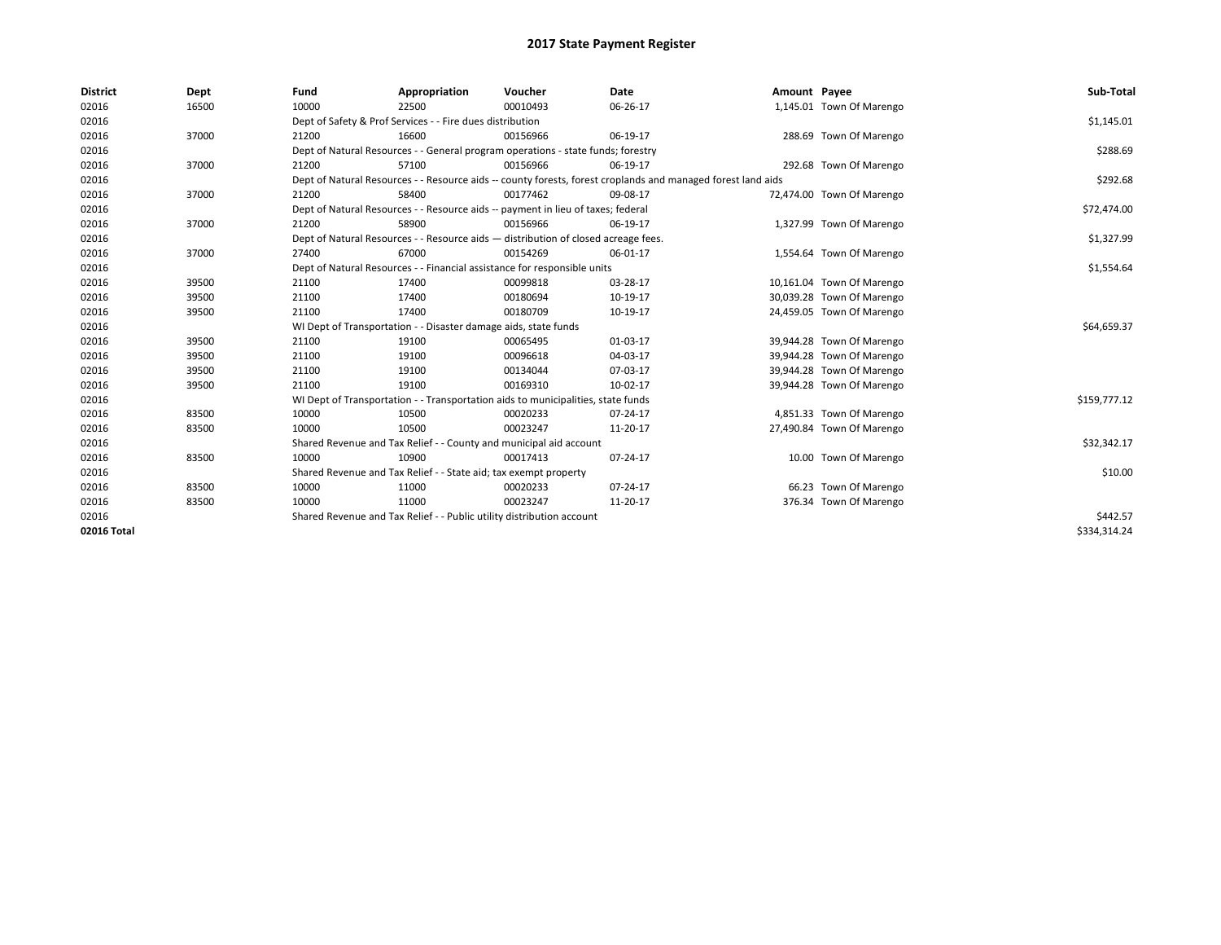| <b>District</b> | Dept  | Fund  | Appropriation                                                                                                | Voucher  | Date     | Amount Payee |                           | Sub-Total    |  |
|-----------------|-------|-------|--------------------------------------------------------------------------------------------------------------|----------|----------|--------------|---------------------------|--------------|--|
| 02016           | 16500 | 10000 | 22500                                                                                                        | 00010493 | 06-26-17 |              | 1,145.01 Town Of Marengo  |              |  |
| 02016           |       |       | Dept of Safety & Prof Services - - Fire dues distribution                                                    |          |          |              |                           | \$1,145.01   |  |
| 02016           | 37000 | 21200 | 16600                                                                                                        | 00156966 | 06-19-17 |              | 288.69 Town Of Marengo    |              |  |
| 02016           |       |       | Dept of Natural Resources - - General program operations - state funds; forestry                             |          |          |              |                           | \$288.69     |  |
| 02016           | 37000 | 21200 | 57100                                                                                                        | 00156966 | 06-19-17 |              | 292.68 Town Of Marengo    |              |  |
| 02016           |       |       | Dept of Natural Resources - - Resource aids -- county forests, forest croplands and managed forest land aids |          |          |              |                           |              |  |
| 02016           | 37000 | 21200 | 58400                                                                                                        | 00177462 | 09-08-17 |              | 72,474.00 Town Of Marengo |              |  |
| 02016           |       |       | Dept of Natural Resources - - Resource aids -- payment in lieu of taxes; federal                             |          |          |              |                           | \$72,474.00  |  |
| 02016           | 37000 | 21200 | 58900                                                                                                        | 00156966 | 06-19-17 |              | 1,327.99 Town Of Marengo  |              |  |
| 02016           |       |       | Dept of Natural Resources - - Resource aids - distribution of closed acreage fees.                           |          |          |              |                           | \$1,327.99   |  |
| 02016           | 37000 | 27400 | 67000                                                                                                        | 00154269 | 06-01-17 |              | 1,554.64 Town Of Marengo  |              |  |
| 02016           |       |       | Dept of Natural Resources - - Financial assistance for responsible units                                     |          |          |              |                           | \$1,554.64   |  |
| 02016           | 39500 | 21100 | 17400                                                                                                        | 00099818 | 03-28-17 |              | 10,161.04 Town Of Marengo |              |  |
| 02016           | 39500 | 21100 | 17400                                                                                                        | 00180694 | 10-19-17 |              | 30,039.28 Town Of Marengo |              |  |
| 02016           | 39500 | 21100 | 17400                                                                                                        | 00180709 | 10-19-17 |              | 24,459.05 Town Of Marengo |              |  |
| 02016           |       |       | WI Dept of Transportation - - Disaster damage aids, state funds                                              |          |          |              |                           | \$64,659.37  |  |
| 02016           | 39500 | 21100 | 19100                                                                                                        | 00065495 | 01-03-17 |              | 39,944.28 Town Of Marengo |              |  |
| 02016           | 39500 | 21100 | 19100                                                                                                        | 00096618 | 04-03-17 |              | 39,944.28 Town Of Marengo |              |  |
| 02016           | 39500 | 21100 | 19100                                                                                                        | 00134044 | 07-03-17 |              | 39,944.28 Town Of Marengo |              |  |
| 02016           | 39500 | 21100 | 19100                                                                                                        | 00169310 | 10-02-17 |              | 39,944.28 Town Of Marengo |              |  |
| 02016           |       |       | WI Dept of Transportation - - Transportation aids to municipalities, state funds                             |          |          |              |                           | \$159,777.12 |  |
| 02016           | 83500 | 10000 | 10500                                                                                                        | 00020233 | 07-24-17 |              | 4,851.33 Town Of Marengo  |              |  |
| 02016           | 83500 | 10000 | 10500                                                                                                        | 00023247 | 11-20-17 |              | 27,490.84 Town Of Marengo |              |  |
| 02016           |       |       | Shared Revenue and Tax Relief - - County and municipal aid account                                           |          |          |              |                           | \$32,342.17  |  |
| 02016           | 83500 | 10000 | 10900                                                                                                        | 00017413 | 07-24-17 |              | 10.00 Town Of Marengo     |              |  |
| 02016           |       |       | Shared Revenue and Tax Relief - - State aid; tax exempt property                                             |          |          |              |                           | \$10.00      |  |
| 02016           | 83500 | 10000 | 11000                                                                                                        | 00020233 | 07-24-17 |              | 66.23 Town Of Marengo     |              |  |
| 02016           | 83500 | 10000 | 11000                                                                                                        | 00023247 | 11-20-17 |              | 376.34 Town Of Marengo    |              |  |
| 02016           |       |       | Shared Revenue and Tax Relief - - Public utility distribution account                                        |          |          |              |                           | \$442.57     |  |
| 02016 Total     |       |       |                                                                                                              |          |          |              |                           | \$334,314.24 |  |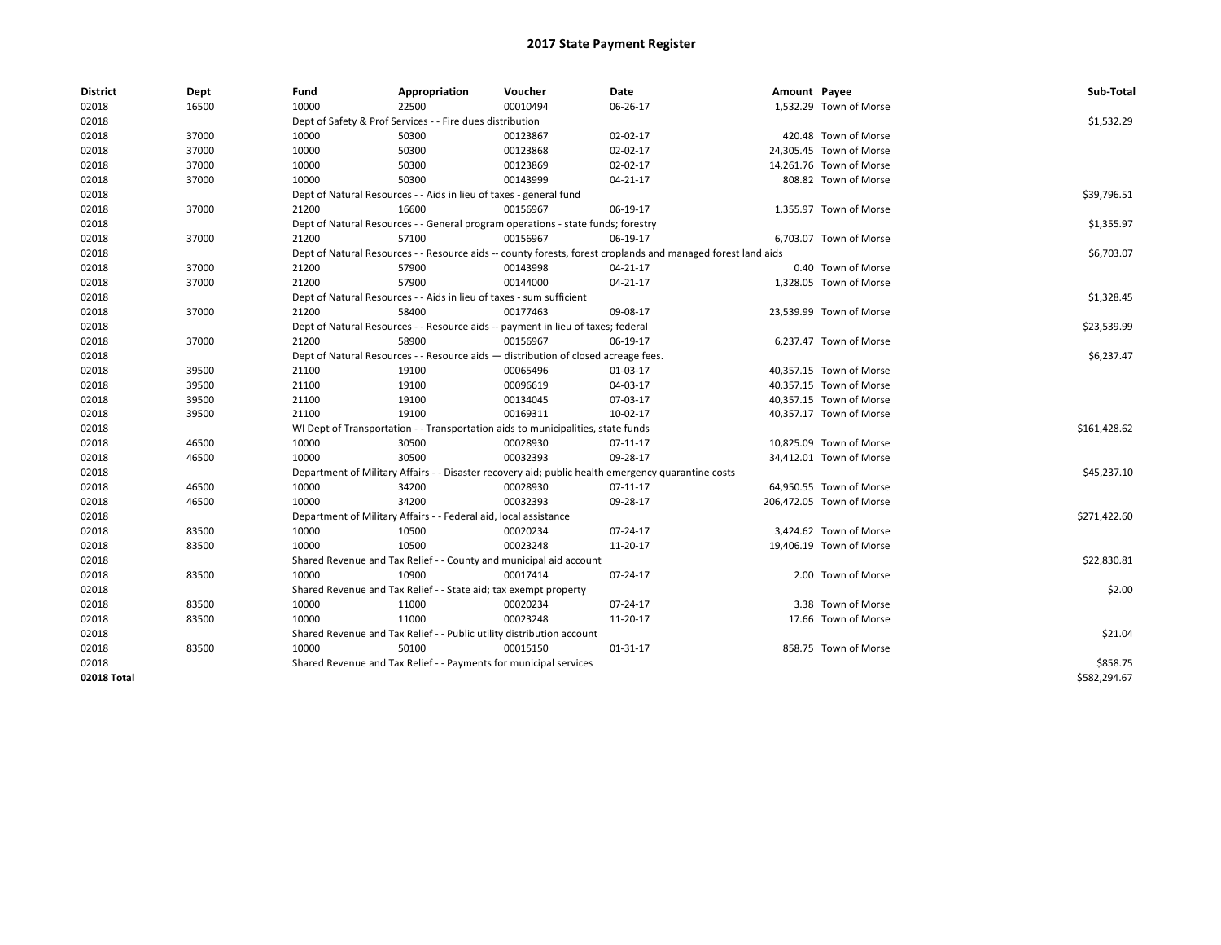| <b>District</b> | Dept  | Fund  | Appropriation                                                                                                | Voucher  | Date                                                                                               | Amount Payee |                          | Sub-Total    |  |  |  |
|-----------------|-------|-------|--------------------------------------------------------------------------------------------------------------|----------|----------------------------------------------------------------------------------------------------|--------------|--------------------------|--------------|--|--|--|
| 02018           | 16500 | 10000 | 22500                                                                                                        | 00010494 | 06-26-17                                                                                           |              | 1,532.29 Town of Morse   |              |  |  |  |
| 02018           |       |       | Dept of Safety & Prof Services - - Fire dues distribution                                                    |          |                                                                                                    |              |                          | \$1,532.29   |  |  |  |
| 02018           | 37000 | 10000 | 50300                                                                                                        | 00123867 | 02-02-17                                                                                           |              | 420.48 Town of Morse     |              |  |  |  |
| 02018           | 37000 | 10000 | 50300                                                                                                        | 00123868 | 02-02-17                                                                                           |              | 24,305.45 Town of Morse  |              |  |  |  |
| 02018           | 37000 | 10000 | 50300                                                                                                        | 00123869 | 02-02-17                                                                                           |              | 14,261.76 Town of Morse  |              |  |  |  |
| 02018           | 37000 | 10000 | 50300                                                                                                        | 00143999 | $04 - 21 - 17$                                                                                     |              | 808.82 Town of Morse     |              |  |  |  |
| 02018           |       |       | Dept of Natural Resources - - Aids in lieu of taxes - general fund                                           |          |                                                                                                    |              |                          |              |  |  |  |
| 02018           | 37000 | 21200 | 16600                                                                                                        | 00156967 | 06-19-17                                                                                           |              | 1,355.97 Town of Morse   |              |  |  |  |
| 02018           |       |       | Dept of Natural Resources - - General program operations - state funds; forestry                             |          |                                                                                                    |              |                          |              |  |  |  |
| 02018           | 37000 | 21200 | 57100                                                                                                        | 00156967 | 06-19-17                                                                                           |              | 6,703.07 Town of Morse   |              |  |  |  |
| 02018           |       |       | Dept of Natural Resources - - Resource aids -- county forests, forest croplands and managed forest land aids |          |                                                                                                    |              |                          |              |  |  |  |
| 02018           | 37000 | 21200 | 57900                                                                                                        | 00143998 | 04-21-17                                                                                           |              | 0.40 Town of Morse       |              |  |  |  |
| 02018           | 37000 | 21200 | 57900                                                                                                        | 00144000 | $04 - 21 - 17$                                                                                     |              | 1,328.05 Town of Morse   |              |  |  |  |
| 02018           |       |       | Dept of Natural Resources - - Aids in lieu of taxes - sum sufficient                                         |          |                                                                                                    |              |                          | \$1,328.45   |  |  |  |
| 02018           | 37000 | 21200 | 58400                                                                                                        | 00177463 | 09-08-17                                                                                           |              | 23,539.99 Town of Morse  |              |  |  |  |
| 02018           |       |       | Dept of Natural Resources - - Resource aids -- payment in lieu of taxes; federal                             |          |                                                                                                    |              |                          | \$23,539.99  |  |  |  |
| 02018           | 37000 | 21200 | 58900                                                                                                        | 00156967 | 06-19-17                                                                                           |              | 6,237.47 Town of Morse   |              |  |  |  |
| 02018           |       |       | Dept of Natural Resources - - Resource aids - distribution of closed acreage fees.                           |          |                                                                                                    |              |                          |              |  |  |  |
| 02018           | 39500 | 21100 | 19100                                                                                                        | 00065496 | 01-03-17                                                                                           |              | 40,357.15 Town of Morse  |              |  |  |  |
| 02018           | 39500 | 21100 | 19100                                                                                                        | 00096619 | 04-03-17                                                                                           |              | 40,357.15 Town of Morse  |              |  |  |  |
| 02018           | 39500 | 21100 | 19100                                                                                                        | 00134045 | 07-03-17                                                                                           |              | 40,357.15 Town of Morse  |              |  |  |  |
| 02018           | 39500 | 21100 | 19100                                                                                                        | 00169311 | 10-02-17                                                                                           |              | 40,357.17 Town of Morse  |              |  |  |  |
| 02018           |       |       | WI Dept of Transportation - - Transportation aids to municipalities, state funds                             |          |                                                                                                    |              |                          | \$161,428.62 |  |  |  |
| 02018           | 46500 | 10000 | 30500                                                                                                        | 00028930 | 07-11-17                                                                                           |              | 10,825.09 Town of Morse  |              |  |  |  |
| 02018           | 46500 | 10000 | 30500                                                                                                        | 00032393 | 09-28-17                                                                                           |              | 34,412.01 Town of Morse  |              |  |  |  |
| 02018           |       |       |                                                                                                              |          | Department of Military Affairs - - Disaster recovery aid; public health emergency quarantine costs |              |                          | \$45,237.10  |  |  |  |
| 02018           | 46500 | 10000 | 34200                                                                                                        | 00028930 | 07-11-17                                                                                           |              | 64,950.55 Town of Morse  |              |  |  |  |
| 02018           | 46500 | 10000 | 34200                                                                                                        | 00032393 | 09-28-17                                                                                           |              | 206,472.05 Town of Morse |              |  |  |  |
| 02018           |       |       | Department of Military Affairs - - Federal aid, local assistance                                             |          |                                                                                                    |              |                          | \$271,422.60 |  |  |  |
| 02018           | 83500 | 10000 | 10500                                                                                                        | 00020234 | 07-24-17                                                                                           |              | 3,424.62 Town of Morse   |              |  |  |  |
| 02018           | 83500 | 10000 | 10500                                                                                                        | 00023248 | 11-20-17                                                                                           |              | 19,406.19 Town of Morse  |              |  |  |  |
| 02018           |       |       | Shared Revenue and Tax Relief - - County and municipal aid account                                           |          |                                                                                                    |              |                          | \$22,830.81  |  |  |  |
| 02018           | 83500 | 10000 | 10900                                                                                                        | 00017414 | 07-24-17                                                                                           |              | 2.00 Town of Morse       |              |  |  |  |
| 02018           |       |       | Shared Revenue and Tax Relief - - State aid; tax exempt property                                             |          |                                                                                                    |              |                          | \$2.00       |  |  |  |
| 02018           | 83500 | 10000 | 11000                                                                                                        | 00020234 | 07-24-17                                                                                           |              | 3.38 Town of Morse       |              |  |  |  |
| 02018           | 83500 | 10000 | 11000                                                                                                        | 00023248 | 11-20-17                                                                                           |              | 17.66 Town of Morse      |              |  |  |  |
| 02018           |       |       | Shared Revenue and Tax Relief - - Public utility distribution account                                        |          |                                                                                                    |              |                          | \$21.04      |  |  |  |
| 02018           | 83500 | 10000 | 50100                                                                                                        | 00015150 | 01-31-17                                                                                           |              | 858.75 Town of Morse     |              |  |  |  |
| 02018           |       |       | Shared Revenue and Tax Relief - - Payments for municipal services                                            |          |                                                                                                    |              |                          | \$858.75     |  |  |  |
| 02018 Total     |       |       |                                                                                                              |          |                                                                                                    |              |                          | \$582,294.67 |  |  |  |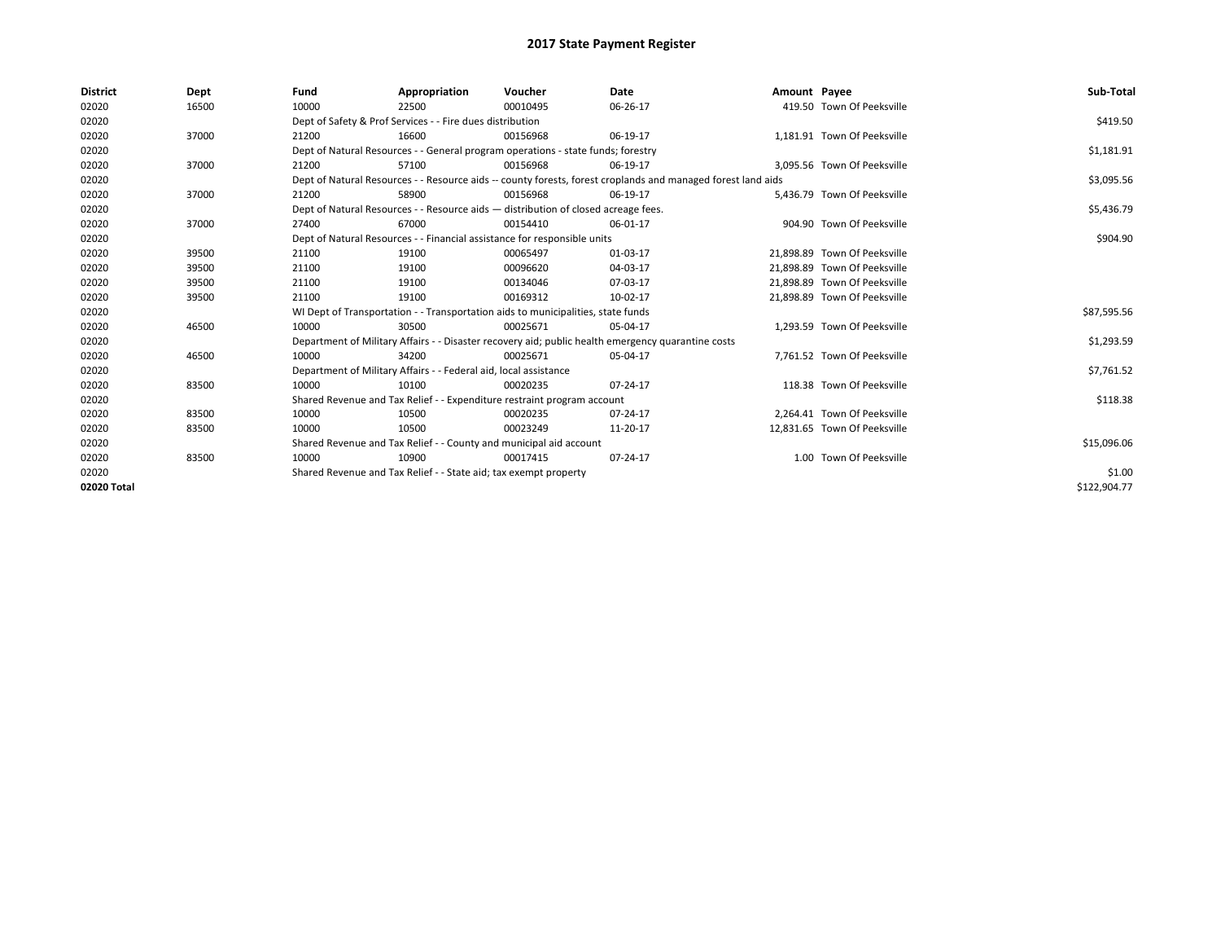| <b>District</b> | Dept  | Fund  | Appropriation                                                                      | Voucher  | Date                                                                                                         | Amount Payee |                              | Sub-Total    |
|-----------------|-------|-------|------------------------------------------------------------------------------------|----------|--------------------------------------------------------------------------------------------------------------|--------------|------------------------------|--------------|
| 02020           | 16500 | 10000 | 22500                                                                              | 00010495 | 06-26-17                                                                                                     |              | 419.50 Town Of Peeksville    |              |
| 02020           |       |       | Dept of Safety & Prof Services - - Fire dues distribution                          |          |                                                                                                              |              |                              | \$419.50     |
| 02020           | 37000 | 21200 | 16600                                                                              | 00156968 | 06-19-17                                                                                                     |              | 1.181.91 Town Of Peeksville  |              |
| 02020           |       |       | Dept of Natural Resources - - General program operations - state funds; forestry   |          |                                                                                                              |              |                              | \$1,181.91   |
| 02020           | 37000 | 21200 | 57100                                                                              | 00156968 | 06-19-17                                                                                                     |              | 3,095.56 Town Of Peeksville  |              |
| 02020           |       |       |                                                                                    |          | Dept of Natural Resources - - Resource aids -- county forests, forest croplands and managed forest land aids |              |                              | \$3,095.56   |
| 02020           | 37000 | 21200 | 58900                                                                              | 00156968 | 06-19-17                                                                                                     |              | 5.436.79 Town Of Peeksville  |              |
| 02020           |       |       | Dept of Natural Resources - - Resource aids - distribution of closed acreage fees. |          |                                                                                                              |              |                              | \$5,436.79   |
| 02020           | 37000 | 27400 | 67000                                                                              | 00154410 | 06-01-17                                                                                                     |              | 904.90 Town Of Peeksville    |              |
| 02020           |       |       | Dept of Natural Resources - - Financial assistance for responsible units           |          |                                                                                                              |              |                              | \$904.90     |
| 02020           | 39500 | 21100 | 19100                                                                              | 00065497 | 01-03-17                                                                                                     |              | 21,898.89 Town Of Peeksville |              |
| 02020           | 39500 | 21100 | 19100                                                                              | 00096620 | 04-03-17                                                                                                     |              | 21,898.89 Town Of Peeksville |              |
| 02020           | 39500 | 21100 | 19100                                                                              | 00134046 | 07-03-17                                                                                                     |              | 21.898.89 Town Of Peeksville |              |
| 02020           | 39500 | 21100 | 19100                                                                              | 00169312 | 10-02-17                                                                                                     |              | 21.898.89 Town Of Peeksville |              |
| 02020           |       |       | WI Dept of Transportation - - Transportation aids to municipalities, state funds   |          |                                                                                                              |              |                              | \$87,595.56  |
| 02020           | 46500 | 10000 | 30500                                                                              | 00025671 | 05-04-17                                                                                                     |              | 1,293.59 Town Of Peeksville  |              |
| 02020           |       |       |                                                                                    |          | Department of Military Affairs - - Disaster recovery aid; public health emergency quarantine costs           |              |                              | \$1,293.59   |
| 02020           | 46500 | 10000 | 34200                                                                              | 00025671 | 05-04-17                                                                                                     |              | 7.761.52 Town Of Peeksville  |              |
| 02020           |       |       | Department of Military Affairs - - Federal aid, local assistance                   |          |                                                                                                              |              |                              | \$7,761.52   |
| 02020           | 83500 | 10000 | 10100                                                                              | 00020235 | 07-24-17                                                                                                     |              | 118.38 Town Of Peeksville    |              |
| 02020           |       |       | Shared Revenue and Tax Relief - - Expenditure restraint program account            |          |                                                                                                              |              |                              | \$118.38     |
| 02020           | 83500 | 10000 | 10500                                                                              | 00020235 | 07-24-17                                                                                                     |              | 2,264.41 Town Of Peeksville  |              |
| 02020           | 83500 | 10000 | 10500                                                                              | 00023249 | 11-20-17                                                                                                     |              | 12,831.65 Town Of Peeksville |              |
| 02020           |       |       | Shared Revenue and Tax Relief - - County and municipal aid account                 |          |                                                                                                              |              |                              | \$15,096.06  |
| 02020           | 83500 | 10000 | 10900                                                                              | 00017415 | 07-24-17                                                                                                     |              | 1.00 Town Of Peeksville      |              |
| 02020           |       |       | Shared Revenue and Tax Relief - - State aid; tax exempt property                   |          |                                                                                                              |              |                              | \$1.00       |
| 02020 Total     |       |       |                                                                                    |          |                                                                                                              |              |                              | \$122,904.77 |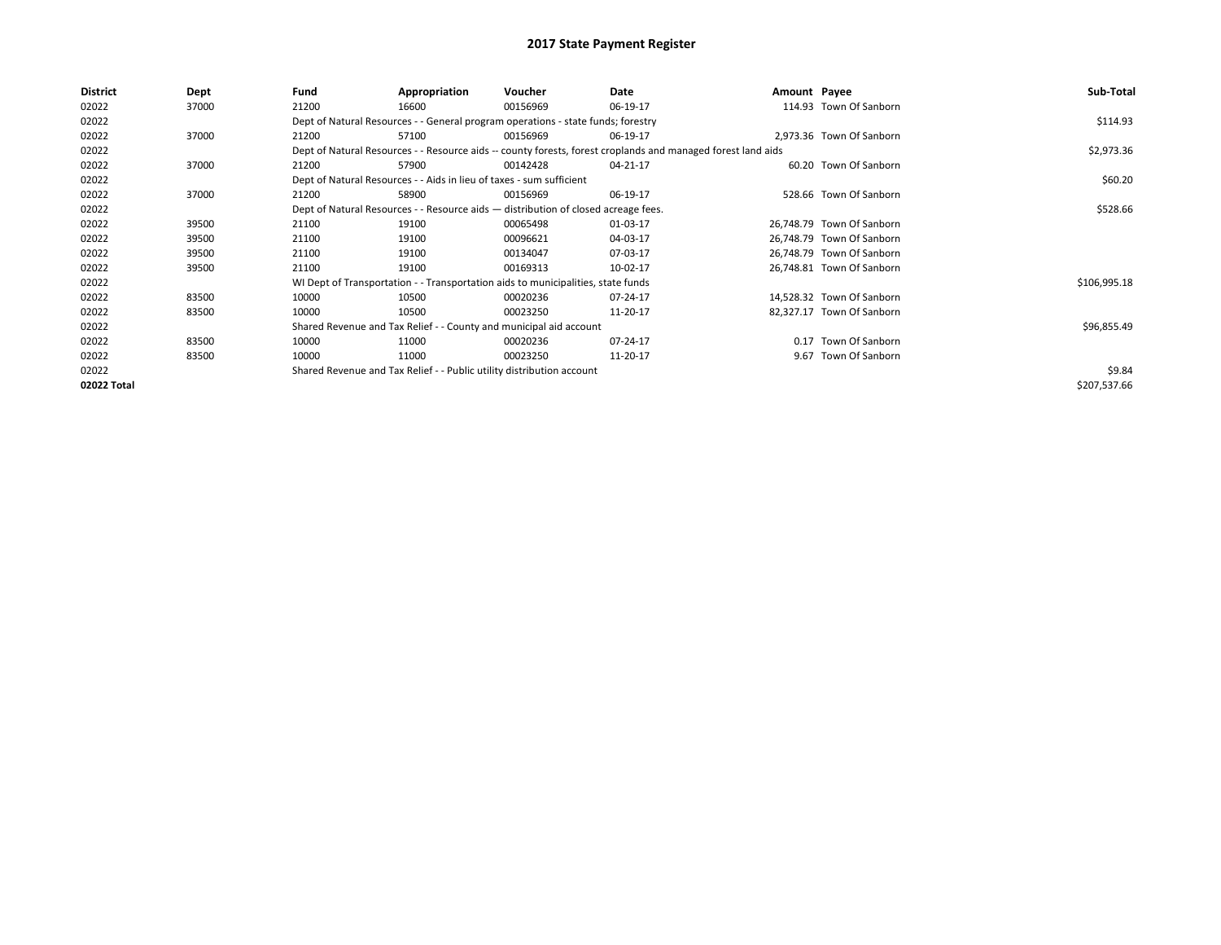| <b>District</b> | Dept  | Fund  | Appropriation                                                                      | Voucher  | Date                                                                                                         | Amount Payee |                           | Sub-Total    |
|-----------------|-------|-------|------------------------------------------------------------------------------------|----------|--------------------------------------------------------------------------------------------------------------|--------------|---------------------------|--------------|
| 02022           | 37000 | 21200 | 16600                                                                              | 00156969 | 06-19-17                                                                                                     |              | 114.93 Town Of Sanborn    |              |
| 02022           |       |       | Dept of Natural Resources - - General program operations - state funds; forestry   |          |                                                                                                              |              |                           | \$114.93     |
| 02022           | 37000 | 21200 | 57100                                                                              | 00156969 | 06-19-17                                                                                                     |              | 2,973.36 Town Of Sanborn  |              |
| 02022           |       |       |                                                                                    |          | Dept of Natural Resources - - Resource aids -- county forests, forest croplands and managed forest land aids |              |                           | \$2,973.36   |
| 02022           | 37000 | 21200 | 57900                                                                              | 00142428 | 04-21-17                                                                                                     |              | 60.20 Town Of Sanborn     |              |
| 02022           |       |       | Dept of Natural Resources - - Aids in lieu of taxes - sum sufficient               |          |                                                                                                              |              |                           | \$60.20      |
| 02022           | 37000 | 21200 | 58900                                                                              | 00156969 | 06-19-17                                                                                                     |              | 528.66 Town Of Sanborn    |              |
| 02022           |       |       | Dept of Natural Resources - - Resource aids - distribution of closed acreage fees. |          |                                                                                                              |              |                           | \$528.66     |
| 02022           | 39500 | 21100 | 19100                                                                              | 00065498 | 01-03-17                                                                                                     |              | 26,748.79 Town Of Sanborn |              |
| 02022           | 39500 | 21100 | 19100                                                                              | 00096621 | 04-03-17                                                                                                     |              | 26,748.79 Town Of Sanborn |              |
| 02022           | 39500 | 21100 | 19100                                                                              | 00134047 | 07-03-17                                                                                                     |              | 26,748.79 Town Of Sanborn |              |
| 02022           | 39500 | 21100 | 19100                                                                              | 00169313 | 10-02-17                                                                                                     |              | 26,748.81 Town Of Sanborn |              |
| 02022           |       |       | WI Dept of Transportation - - Transportation aids to municipalities, state funds   |          |                                                                                                              |              |                           | \$106,995.18 |
| 02022           | 83500 | 10000 | 10500                                                                              | 00020236 | 07-24-17                                                                                                     |              | 14,528.32 Town Of Sanborn |              |
| 02022           | 83500 | 10000 | 10500                                                                              | 00023250 | 11-20-17                                                                                                     |              | 82,327.17 Town Of Sanborn |              |
| 02022           |       |       | Shared Revenue and Tax Relief - - County and municipal aid account                 |          |                                                                                                              |              |                           | \$96,855.49  |
| 02022           | 83500 | 10000 | 11000                                                                              | 00020236 | 07-24-17                                                                                                     |              | 0.17 Town Of Sanborn      |              |
| 02022           | 83500 | 10000 | 11000                                                                              | 00023250 | 11-20-17                                                                                                     |              | 9.67 Town Of Sanborn      |              |
| 02022           |       |       | Shared Revenue and Tax Relief - - Public utility distribution account              |          |                                                                                                              |              |                           | \$9.84       |
| 02022 Total     |       |       |                                                                                    |          |                                                                                                              |              |                           | \$207,537.66 |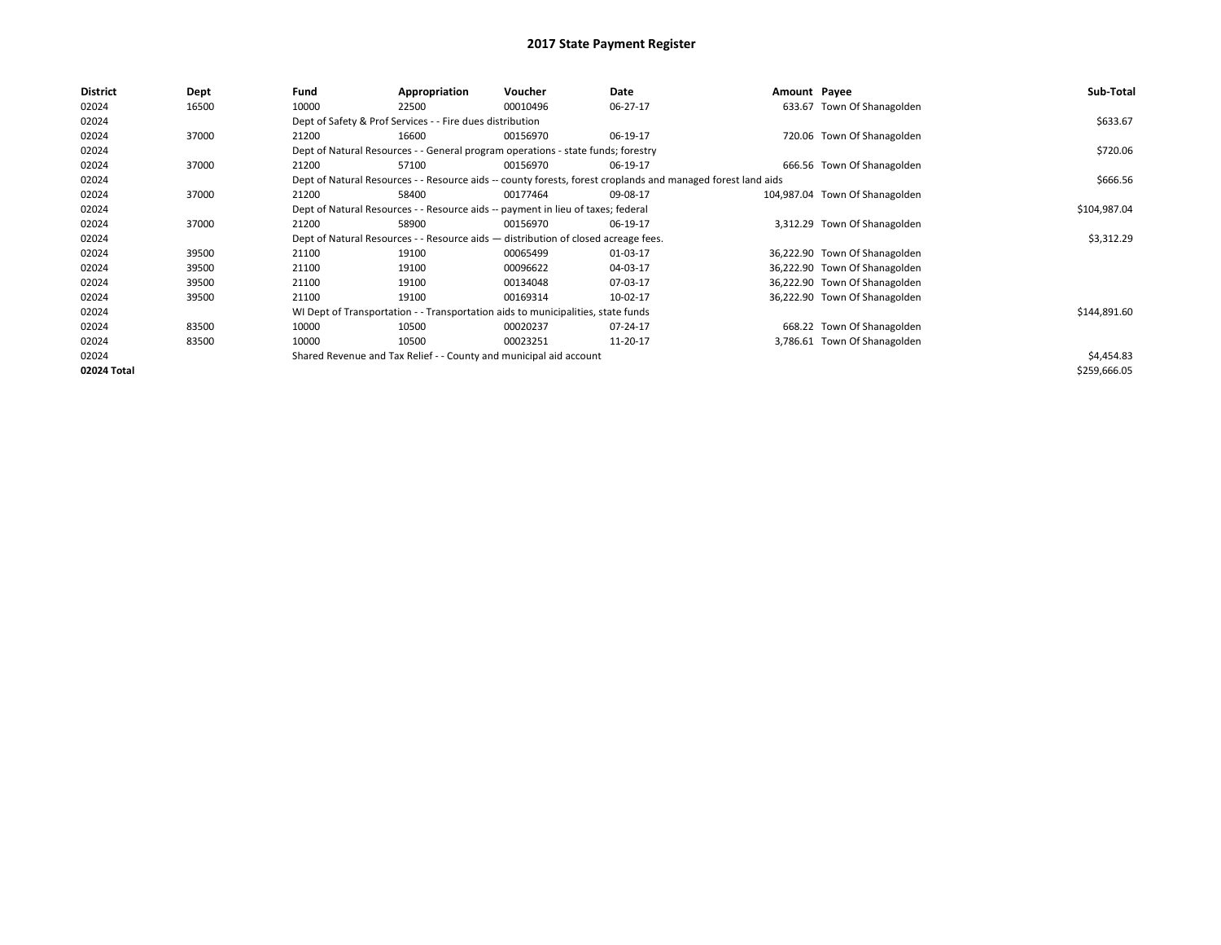| <b>District</b> | Dept  | Fund  | Appropriation                                                                      | Voucher  | Date                                                                                                         | Amount Payee |                                | Sub-Total    |
|-----------------|-------|-------|------------------------------------------------------------------------------------|----------|--------------------------------------------------------------------------------------------------------------|--------------|--------------------------------|--------------|
| 02024           | 16500 | 10000 | 22500                                                                              | 00010496 | 06-27-17                                                                                                     |              | 633.67 Town Of Shanagolden     |              |
| 02024           |       |       | Dept of Safety & Prof Services - - Fire dues distribution                          |          |                                                                                                              |              |                                | \$633.67     |
| 02024           | 37000 | 21200 | 16600                                                                              | 00156970 | 06-19-17                                                                                                     |              | 720.06 Town Of Shanagolden     |              |
| 02024           |       |       | Dept of Natural Resources - - General program operations - state funds; forestry   |          |                                                                                                              |              |                                | \$720.06     |
| 02024           | 37000 | 21200 | 57100                                                                              | 00156970 | 06-19-17                                                                                                     |              | 666.56 Town Of Shanagolden     |              |
| 02024           |       |       |                                                                                    |          | Dept of Natural Resources - - Resource aids -- county forests, forest croplands and managed forest land aids |              |                                | \$666.56     |
| 02024           | 37000 | 21200 | 58400                                                                              | 00177464 | 09-08-17                                                                                                     |              | 104,987.04 Town Of Shanagolden |              |
| 02024           |       |       | Dept of Natural Resources - - Resource aids -- payment in lieu of taxes; federal   |          |                                                                                                              |              |                                | \$104,987.04 |
| 02024           | 37000 | 21200 | 58900                                                                              | 00156970 | 06-19-17                                                                                                     |              | 3,312.29 Town Of Shanagolden   |              |
| 02024           |       |       | Dept of Natural Resources - - Resource aids - distribution of closed acreage fees. |          |                                                                                                              |              |                                | \$3,312.29   |
| 02024           | 39500 | 21100 | 19100                                                                              | 00065499 | 01-03-17                                                                                                     |              | 36,222.90 Town Of Shanagolden  |              |
| 02024           | 39500 | 21100 | 19100                                                                              | 00096622 | 04-03-17                                                                                                     |              | 36,222.90 Town Of Shanagolden  |              |
| 02024           | 39500 | 21100 | 19100                                                                              | 00134048 | 07-03-17                                                                                                     |              | 36,222.90 Town Of Shanagolden  |              |
| 02024           | 39500 | 21100 | 19100                                                                              | 00169314 | 10-02-17                                                                                                     |              | 36,222.90 Town Of Shanagolden  |              |
| 02024           |       |       | WI Dept of Transportation - - Transportation aids to municipalities, state funds   |          |                                                                                                              |              |                                | \$144,891.60 |
| 02024           | 83500 | 10000 | 10500                                                                              | 00020237 | 07-24-17                                                                                                     |              | 668.22 Town Of Shanagolden     |              |
| 02024           | 83500 | 10000 | 10500                                                                              | 00023251 | 11-20-17                                                                                                     |              | 3,786.61 Town Of Shanagolden   |              |
| 02024           |       |       | Shared Revenue and Tax Relief - - County and municipal aid account                 |          |                                                                                                              |              |                                | \$4,454.83   |
| 02024 Total     |       |       |                                                                                    |          |                                                                                                              |              |                                | \$259,666.05 |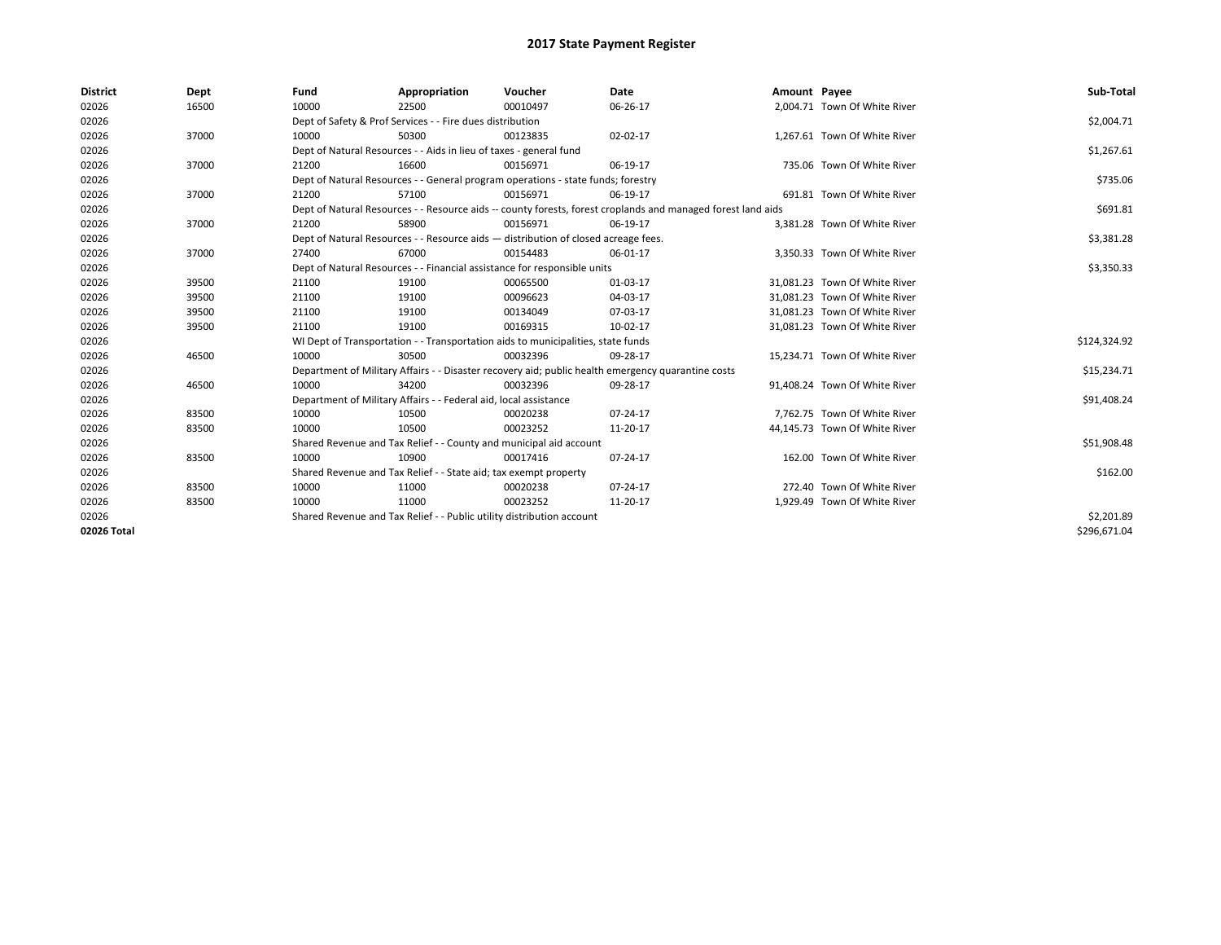| <b>District</b> | Dept  | Fund  | Appropriation                                                                      | Voucher  | Date                                                                                                         | Amount Payee |                               | Sub-Total    |  |  |
|-----------------|-------|-------|------------------------------------------------------------------------------------|----------|--------------------------------------------------------------------------------------------------------------|--------------|-------------------------------|--------------|--|--|
| 02026           | 16500 | 10000 | 22500                                                                              | 00010497 | 06-26-17                                                                                                     |              | 2,004.71 Town Of White River  |              |  |  |
| 02026           |       |       | Dept of Safety & Prof Services - - Fire dues distribution                          |          |                                                                                                              |              |                               | \$2,004.71   |  |  |
| 02026           | 37000 | 10000 | 50300                                                                              | 00123835 | 02-02-17                                                                                                     |              | 1,267.61 Town Of White River  |              |  |  |
| 02026           |       |       | Dept of Natural Resources - - Aids in lieu of taxes - general fund                 |          |                                                                                                              |              |                               |              |  |  |
| 02026           | 37000 | 21200 | 16600                                                                              | 00156971 | 06-19-17                                                                                                     |              | 735.06 Town Of White River    |              |  |  |
| 02026           |       |       | Dept of Natural Resources - - General program operations - state funds; forestry   |          |                                                                                                              |              |                               | \$735.06     |  |  |
| 02026           | 37000 | 21200 | 57100                                                                              | 00156971 | 06-19-17                                                                                                     |              | 691.81 Town Of White River    |              |  |  |
| 02026           |       |       |                                                                                    |          | Dept of Natural Resources - - Resource aids -- county forests, forest croplands and managed forest land aids |              |                               | \$691.81     |  |  |
| 02026           | 37000 | 21200 | 58900                                                                              | 00156971 | 06-19-17                                                                                                     |              | 3,381.28 Town Of White River  |              |  |  |
| 02026           |       |       | Dept of Natural Resources - - Resource aids - distribution of closed acreage fees. |          |                                                                                                              |              |                               | \$3,381.28   |  |  |
| 02026           | 37000 | 27400 | 67000                                                                              | 00154483 | 06-01-17                                                                                                     |              | 3.350.33 Town Of White River  |              |  |  |
| 02026           |       |       | Dept of Natural Resources - - Financial assistance for responsible units           |          |                                                                                                              |              |                               | \$3,350.33   |  |  |
| 02026           | 39500 | 21100 | 19100                                                                              | 00065500 | 01-03-17                                                                                                     |              | 31.081.23 Town Of White River |              |  |  |
| 02026           | 39500 | 21100 | 19100                                                                              | 00096623 | 04-03-17                                                                                                     |              | 31,081.23 Town Of White River |              |  |  |
| 02026           | 39500 | 21100 | 19100                                                                              | 00134049 | 07-03-17                                                                                                     |              | 31,081.23 Town Of White River |              |  |  |
| 02026           | 39500 | 21100 | 19100                                                                              | 00169315 | 10-02-17                                                                                                     |              | 31,081.23 Town Of White River |              |  |  |
| 02026           |       |       | WI Dept of Transportation - - Transportation aids to municipalities, state funds   |          |                                                                                                              |              |                               | \$124,324.92 |  |  |
| 02026           | 46500 | 10000 | 30500                                                                              | 00032396 | 09-28-17                                                                                                     |              | 15,234.71 Town Of White River |              |  |  |
| 02026           |       |       |                                                                                    |          | Department of Military Affairs - - Disaster recovery aid; public health emergency quarantine costs           |              |                               | \$15,234.71  |  |  |
| 02026           | 46500 | 10000 | 34200                                                                              | 00032396 | 09-28-17                                                                                                     |              | 91.408.24 Town Of White River |              |  |  |
| 02026           |       |       | Department of Military Affairs - - Federal aid, local assistance                   |          |                                                                                                              |              |                               | \$91,408.24  |  |  |
| 02026           | 83500 | 10000 | 10500                                                                              | 00020238 | 07-24-17                                                                                                     |              | 7,762.75 Town Of White River  |              |  |  |
| 02026           | 83500 | 10000 | 10500                                                                              | 00023252 | 11-20-17                                                                                                     |              | 44,145.73 Town Of White River |              |  |  |
| 02026           |       |       | Shared Revenue and Tax Relief - - County and municipal aid account                 |          |                                                                                                              |              |                               | \$51,908.48  |  |  |
| 02026           | 83500 | 10000 | 10900                                                                              | 00017416 | 07-24-17                                                                                                     |              | 162.00 Town Of White River    |              |  |  |
| 02026           |       |       | Shared Revenue and Tax Relief - - State aid; tax exempt property                   |          |                                                                                                              |              |                               | \$162.00     |  |  |
| 02026           | 83500 | 10000 | 11000                                                                              | 00020238 | 07-24-17                                                                                                     |              | 272.40 Town Of White River    |              |  |  |
| 02026           | 83500 | 10000 | 11000                                                                              | 00023252 | 11-20-17                                                                                                     |              | 1,929.49 Town Of White River  |              |  |  |
| 02026           |       |       | Shared Revenue and Tax Relief - - Public utility distribution account              |          |                                                                                                              |              |                               | \$2,201.89   |  |  |
| 02026 Total     |       |       |                                                                                    |          |                                                                                                              |              |                               | \$296,671.04 |  |  |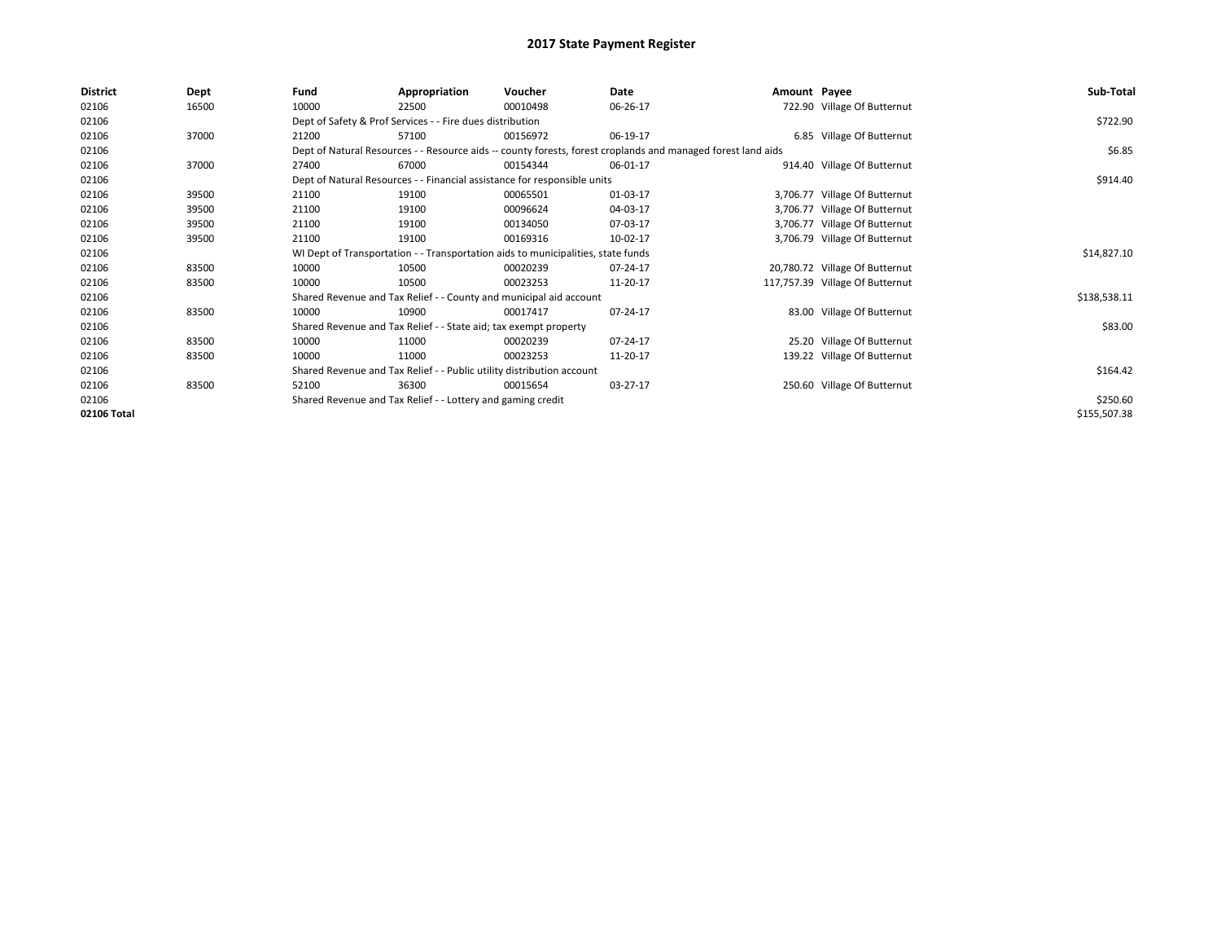| <b>District</b> | Dept  | Fund  | Appropriation                                                                                                | Voucher  | Date     | Amount Payee |                                 | Sub-Total    |  |  |  |
|-----------------|-------|-------|--------------------------------------------------------------------------------------------------------------|----------|----------|--------------|---------------------------------|--------------|--|--|--|
| 02106           | 16500 | 10000 | 22500                                                                                                        | 00010498 | 06-26-17 |              | 722.90 Village Of Butternut     |              |  |  |  |
| 02106           |       |       | Dept of Safety & Prof Services - - Fire dues distribution                                                    |          |          |              |                                 | \$722.90     |  |  |  |
| 02106           | 37000 | 21200 | 57100                                                                                                        | 00156972 | 06-19-17 |              | 6.85 Village Of Butternut       |              |  |  |  |
| 02106           |       |       | Dept of Natural Resources - - Resource aids -- county forests, forest croplands and managed forest land aids |          |          |              |                                 |              |  |  |  |
| 02106           | 37000 | 27400 | 67000                                                                                                        | 00154344 | 06-01-17 |              | 914.40 Village Of Butternut     |              |  |  |  |
| 02106           |       |       | Dept of Natural Resources - - Financial assistance for responsible units                                     |          |          |              |                                 | \$914.40     |  |  |  |
| 02106           | 39500 | 21100 | 19100                                                                                                        | 00065501 | 01-03-17 |              | 3,706.77 Village Of Butternut   |              |  |  |  |
| 02106           | 39500 | 21100 | 19100                                                                                                        | 00096624 | 04-03-17 |              | 3,706.77 Village Of Butternut   |              |  |  |  |
| 02106           | 39500 | 21100 | 19100                                                                                                        | 00134050 | 07-03-17 |              | 3,706.77 Village Of Butternut   |              |  |  |  |
| 02106           | 39500 | 21100 | 19100                                                                                                        | 00169316 | 10-02-17 |              | 3,706.79 Village Of Butternut   |              |  |  |  |
| 02106           |       |       | WI Dept of Transportation - - Transportation aids to municipalities, state funds                             |          |          |              |                                 | \$14,827.10  |  |  |  |
| 02106           | 83500 | 10000 | 10500                                                                                                        | 00020239 | 07-24-17 |              | 20,780.72 Village Of Butternut  |              |  |  |  |
| 02106           | 83500 | 10000 | 10500                                                                                                        | 00023253 | 11-20-17 |              | 117,757.39 Village Of Butternut |              |  |  |  |
| 02106           |       |       | Shared Revenue and Tax Relief - - County and municipal aid account                                           |          |          |              |                                 | \$138,538.11 |  |  |  |
| 02106           | 83500 | 10000 | 10900                                                                                                        | 00017417 | 07-24-17 |              | 83.00 Village Of Butternut      |              |  |  |  |
| 02106           |       |       | Shared Revenue and Tax Relief - - State aid; tax exempt property                                             |          |          |              |                                 | \$83.00      |  |  |  |
| 02106           | 83500 | 10000 | 11000                                                                                                        | 00020239 | 07-24-17 |              | 25.20 Village Of Butternut      |              |  |  |  |
| 02106           | 83500 | 10000 | 11000                                                                                                        | 00023253 | 11-20-17 |              | 139.22 Village Of Butternut     |              |  |  |  |
| 02106           |       |       | Shared Revenue and Tax Relief - - Public utility distribution account                                        |          |          |              |                                 | \$164.42     |  |  |  |
| 02106           | 83500 | 52100 | 36300                                                                                                        | 00015654 | 03-27-17 |              | 250.60 Village Of Butternut     |              |  |  |  |
| 02106           |       |       | Shared Revenue and Tax Relief - - Lottery and gaming credit                                                  |          |          |              |                                 | \$250.60     |  |  |  |
| 02106 Total     |       |       |                                                                                                              |          |          |              |                                 | \$155,507.38 |  |  |  |
|                 |       |       |                                                                                                              |          |          |              |                                 |              |  |  |  |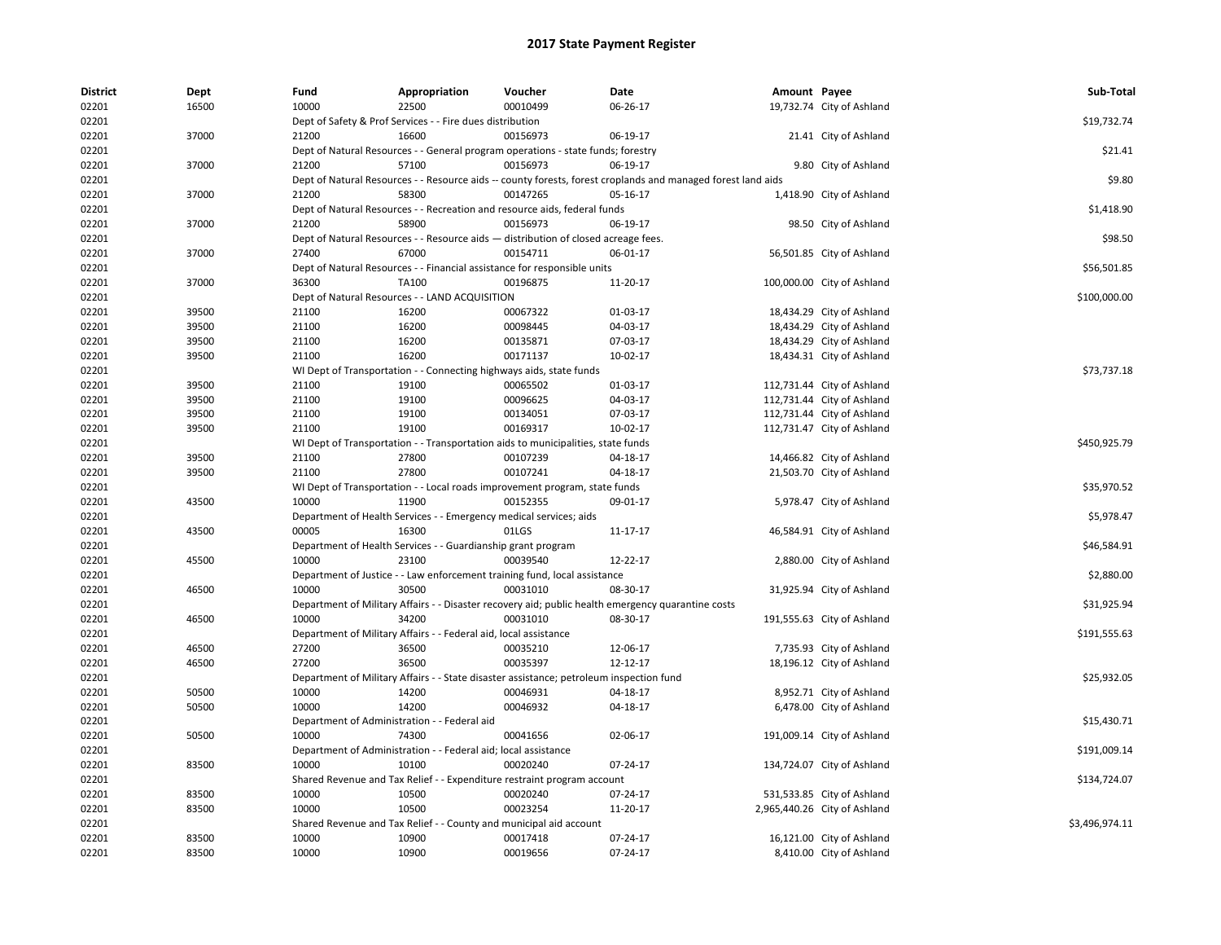| <b>District</b> | Dept  | Fund  | Appropriation                                                                           | Voucher  | Date                                                                                                         | Amount Payee |                              | Sub-Total      |
|-----------------|-------|-------|-----------------------------------------------------------------------------------------|----------|--------------------------------------------------------------------------------------------------------------|--------------|------------------------------|----------------|
| 02201           | 16500 | 10000 | 22500                                                                                   | 00010499 | 06-26-17                                                                                                     |              | 19,732.74 City of Ashland    |                |
| 02201           |       |       | Dept of Safety & Prof Services - - Fire dues distribution                               |          |                                                                                                              |              |                              | \$19,732.74    |
| 02201           | 37000 | 21200 | 16600                                                                                   | 00156973 | 06-19-17                                                                                                     |              | 21.41 City of Ashland        |                |
| 02201           |       |       | Dept of Natural Resources - - General program operations - state funds; forestry        |          |                                                                                                              |              |                              | \$21.41        |
| 02201           | 37000 | 21200 | 57100                                                                                   | 00156973 | 06-19-17                                                                                                     |              | 9.80 City of Ashland         |                |
| 02201           |       |       |                                                                                         |          | Dept of Natural Resources - - Resource aids -- county forests, forest croplands and managed forest land aids |              |                              | \$9.80         |
| 02201           | 37000 | 21200 | 58300                                                                                   | 00147265 | 05-16-17                                                                                                     |              | 1,418.90 City of Ashland     |                |
| 02201           |       |       | Dept of Natural Resources - - Recreation and resource aids, federal funds               |          |                                                                                                              |              |                              | \$1,418.90     |
| 02201           | 37000 | 21200 | 58900                                                                                   | 00156973 | 06-19-17                                                                                                     |              | 98.50 City of Ashland        |                |
| 02201           |       |       | Dept of Natural Resources - - Resource aids - distribution of closed acreage fees.      |          |                                                                                                              |              |                              | \$98.50        |
| 02201           | 37000 | 27400 | 67000                                                                                   | 00154711 | 06-01-17                                                                                                     |              | 56,501.85 City of Ashland    |                |
| 02201           |       |       | Dept of Natural Resources - - Financial assistance for responsible units                |          |                                                                                                              |              |                              | \$56,501.85    |
| 02201           | 37000 | 36300 | TA100                                                                                   | 00196875 | 11-20-17                                                                                                     |              | 100,000.00 City of Ashland   |                |
| 02201           |       |       | Dept of Natural Resources - - LAND ACQUISITION                                          |          |                                                                                                              |              |                              | \$100,000.00   |
| 02201           | 39500 | 21100 | 16200                                                                                   | 00067322 | 01-03-17                                                                                                     |              | 18,434.29 City of Ashland    |                |
| 02201           | 39500 | 21100 | 16200                                                                                   | 00098445 | 04-03-17                                                                                                     |              | 18,434.29 City of Ashland    |                |
| 02201           | 39500 | 21100 | 16200                                                                                   | 00135871 | 07-03-17                                                                                                     |              | 18,434.29 City of Ashland    |                |
| 02201           | 39500 | 21100 | 16200                                                                                   | 00171137 | 10-02-17                                                                                                     |              | 18,434.31 City of Ashland    |                |
| 02201           |       |       | WI Dept of Transportation - - Connecting highways aids, state funds                     |          |                                                                                                              |              |                              | \$73,737.18    |
| 02201           | 39500 | 21100 | 19100                                                                                   | 00065502 | 01-03-17                                                                                                     |              | 112,731.44 City of Ashland   |                |
| 02201           | 39500 | 21100 | 19100                                                                                   | 00096625 | 04-03-17                                                                                                     |              | 112,731.44 City of Ashland   |                |
| 02201           | 39500 | 21100 | 19100                                                                                   | 00134051 | 07-03-17                                                                                                     |              | 112,731.44 City of Ashland   |                |
| 02201           | 39500 | 21100 | 19100                                                                                   | 00169317 | 10-02-17                                                                                                     |              | 112,731.47 City of Ashland   |                |
| 02201           |       |       | WI Dept of Transportation - - Transportation aids to municipalities, state funds        |          |                                                                                                              |              |                              | \$450,925.79   |
| 02201           | 39500 | 21100 | 27800                                                                                   | 00107239 | 04-18-17                                                                                                     |              | 14,466.82 City of Ashland    |                |
| 02201           | 39500 | 21100 | 27800                                                                                   | 00107241 | 04-18-17                                                                                                     |              | 21,503.70 City of Ashland    |                |
| 02201           |       |       | WI Dept of Transportation - - Local roads improvement program, state funds              |          |                                                                                                              |              |                              | \$35,970.52    |
| 02201           | 43500 | 10000 | 11900                                                                                   | 00152355 | 09-01-17                                                                                                     |              | 5,978.47 City of Ashland     |                |
| 02201           |       |       | Department of Health Services - - Emergency medical services; aids                      |          |                                                                                                              |              |                              | \$5,978.47     |
| 02201           | 43500 | 00005 | 16300                                                                                   | 01LGS    | 11-17-17                                                                                                     |              | 46,584.91 City of Ashland    |                |
| 02201           |       |       | Department of Health Services - - Guardianship grant program                            |          |                                                                                                              |              |                              | \$46,584.91    |
| 02201           | 45500 | 10000 | 23100                                                                                   | 00039540 | 12-22-17                                                                                                     |              | 2,880.00 City of Ashland     |                |
| 02201           |       |       | Department of Justice - - Law enforcement training fund, local assistance               |          |                                                                                                              |              |                              | \$2,880.00     |
| 02201           | 46500 | 10000 | 30500                                                                                   | 00031010 | 08-30-17                                                                                                     |              | 31,925.94 City of Ashland    |                |
| 02201           |       |       |                                                                                         |          | Department of Military Affairs - - Disaster recovery aid; public health emergency quarantine costs           |              |                              | \$31,925.94    |
| 02201           | 46500 | 10000 | 34200                                                                                   | 00031010 | 08-30-17                                                                                                     |              | 191,555.63 City of Ashland   |                |
| 02201           |       |       | Department of Military Affairs - - Federal aid, local assistance                        |          |                                                                                                              |              |                              | \$191,555.63   |
| 02201           | 46500 | 27200 | 36500                                                                                   | 00035210 | 12-06-17                                                                                                     |              | 7,735.93 City of Ashland     |                |
| 02201           | 46500 | 27200 | 36500                                                                                   | 00035397 | 12-12-17                                                                                                     |              | 18,196.12 City of Ashland    |                |
| 02201           |       |       | Department of Military Affairs - - State disaster assistance; petroleum inspection fund |          |                                                                                                              |              |                              | \$25,932.05    |
| 02201           | 50500 | 10000 | 14200                                                                                   | 00046931 | 04-18-17                                                                                                     |              | 8,952.71 City of Ashland     |                |
| 02201           | 50500 | 10000 | 14200                                                                                   | 00046932 | 04-18-17                                                                                                     |              | 6,478.00 City of Ashland     |                |
| 02201           |       |       | Department of Administration - - Federal aid                                            |          |                                                                                                              |              |                              | \$15,430.71    |
| 02201           | 50500 | 10000 | 74300                                                                                   | 00041656 | 02-06-17                                                                                                     |              | 191,009.14 City of Ashland   |                |
| 02201           |       |       | Department of Administration - - Federal aid; local assistance                          |          |                                                                                                              |              |                              | \$191,009.14   |
| 02201           | 83500 | 10000 | 10100                                                                                   | 00020240 | 07-24-17                                                                                                     |              | 134,724.07 City of Ashland   |                |
| 02201           |       |       | Shared Revenue and Tax Relief - - Expenditure restraint program account                 |          |                                                                                                              |              |                              | \$134,724.07   |
| 02201           | 83500 | 10000 | 10500                                                                                   | 00020240 | 07-24-17                                                                                                     |              | 531,533.85 City of Ashland   |                |
| 02201           | 83500 | 10000 | 10500                                                                                   | 00023254 | 11-20-17                                                                                                     |              | 2,965,440.26 City of Ashland |                |
| 02201           |       |       | Shared Revenue and Tax Relief - - County and municipal aid account                      |          |                                                                                                              |              |                              | \$3,496,974.11 |
| 02201           | 83500 | 10000 | 10900                                                                                   | 00017418 | 07-24-17                                                                                                     |              | 16,121.00 City of Ashland    |                |
| 02201           | 83500 | 10000 | 10900                                                                                   | 00019656 | 07-24-17                                                                                                     |              | 8,410.00 City of Ashland     |                |
|                 |       |       |                                                                                         |          |                                                                                                              |              |                              |                |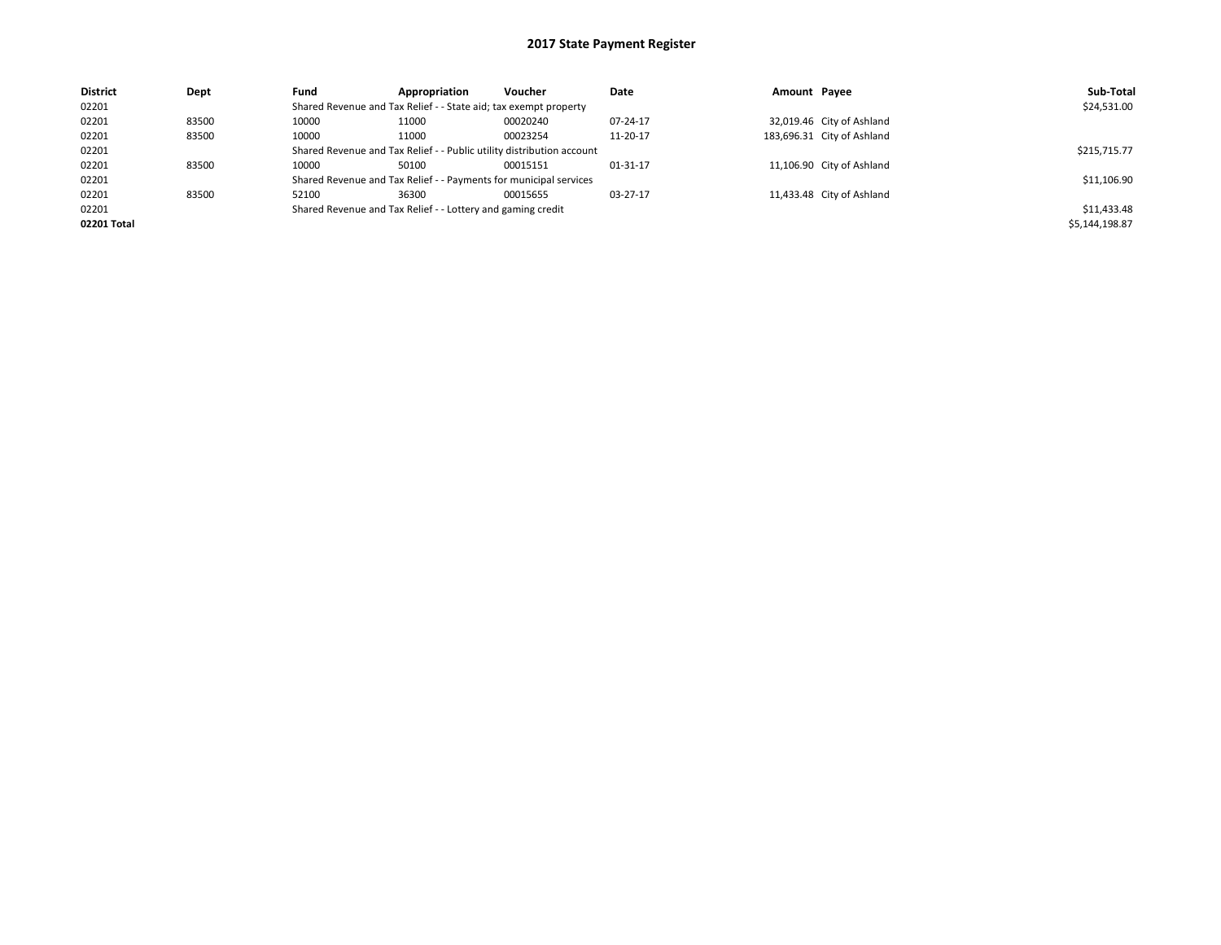| <b>District</b> | Dept  | Fund                                                                  | Appropriation                                                     | Voucher      | Date     | Amount Payee |                            | Sub-Total      |
|-----------------|-------|-----------------------------------------------------------------------|-------------------------------------------------------------------|--------------|----------|--------------|----------------------------|----------------|
| 02201           |       |                                                                       | Shared Revenue and Tax Relief - - State aid; tax exempt property  |              |          |              |                            | \$24,531.00    |
| 02201           | 83500 | 10000                                                                 | 11000                                                             | 00020240     | 07-24-17 |              | 32,019.46 City of Ashland  |                |
| 02201           | 83500 | 10000                                                                 | 11000                                                             | 00023254     | 11-20-17 |              | 183,696.31 City of Ashland |                |
| 02201           |       | Shared Revenue and Tax Relief - - Public utility distribution account |                                                                   | \$215,715.77 |          |              |                            |                |
| 02201           | 83500 | 10000                                                                 | 50100                                                             | 00015151     | 01-31-17 |              | 11,106.90 City of Ashland  |                |
| 02201           |       |                                                                       | Shared Revenue and Tax Relief - - Payments for municipal services |              |          |              |                            | \$11,106.90    |
| 02201           | 83500 | 52100                                                                 | 36300                                                             | 00015655     | 03-27-17 |              | 11,433.48 City of Ashland  |                |
| 02201           |       | Shared Revenue and Tax Relief - - Lottery and gaming credit           |                                                                   | \$11,433.48  |          |              |                            |                |
| 02201 Total     |       |                                                                       |                                                                   |              |          |              |                            | \$5,144,198.87 |